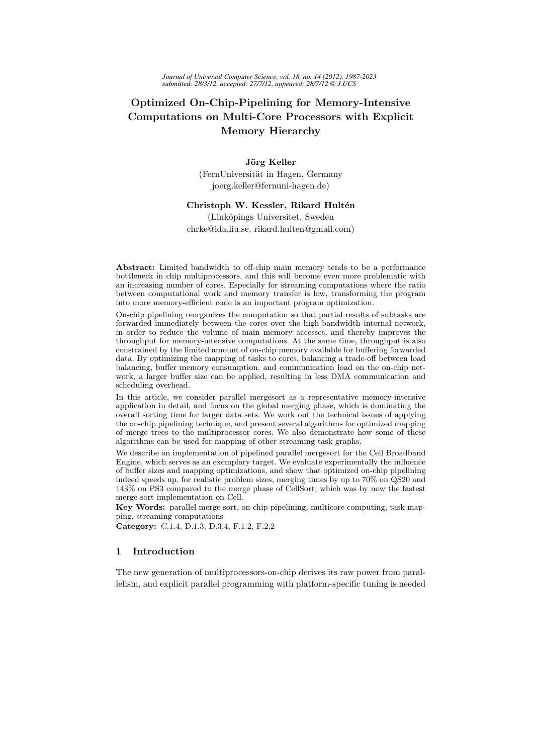# Optimized On-Chip-Pipelining for Memory-Intensive Computations on Multi-Core Processors with Explicit Memory Hierarchy

# Jörg Keller

(FernUniversität in Hagen, Germany joerg.keller@fernuni-hagen.de)

### Christoph W. Kessler, Rikard Hultén

(Linköpings Universitet, Sweden chrke@ida.liu.se, rikard.hulten@gmail.com)

Abstract: Limited bandwidth to off-chip main memory tends to be a performance bottleneck in chip multiprocessors, and this will become even more problematic with an increasing number of cores. Especially for streaming computations where the ratio between computational work and memory transfer is low, transforming the program into more memory-efficient code is an important program optimization.

On-chip pipelining reorganizes the computation so that partial results of subtasks are forwarded immediately between the cores over the high-bandwidth internal network, in order to reduce the volume of main memory accesses, and thereby improves the throughput for memory-intensive computations. At the same time, throughput is also constrained by the limited amount of on-chip memory available for buffering forwarded data. By optimizing the mapping of tasks to cores, balancing a trade-off between load balancing, buffer memory consumption, and communication load on the on-chip network, a larger buffer size can be applied, resulting in less DMA communication and scheduling overhead.

In this article, we consider parallel mergesort as a representative memory-intensive application in detail, and focus on the global merging phase, which is dominating the overall sorting time for larger data sets. We work out the technical issues of applying the on-chip pipelining technique, and present several algorithms for optimized mapping of merge trees to the multiprocessor cores. We also demonstrate how some of these algorithms can be used for mapping of other streaming task graphs.

We describe an implementation of pipelined parallel mergesort for the Cell Broadband Engine, which serves as an exemplary target. We evaluate experimentally the influence of buffer sizes and mapping optimizations, and show that optimized on-chip pipelining indeed speeds up, for realistic problem sizes, merging times by up to 70% on QS20 and 143% on PS3 compared to the merge phase of CellSort, which was by now the fastest merge sort implementation on Cell.

Key Words: parallel merge sort, on-chip pipelining, multicore computing, task mapping, streaming computations

Category: C.1.4, D.1.3, D.3.4, F.1.2, F.2.2

# 1 Introduction

The new generation of multiprocessors-on-chip derives its raw power from parallelism, and explicit parallel programming with platform-specific tuning is needed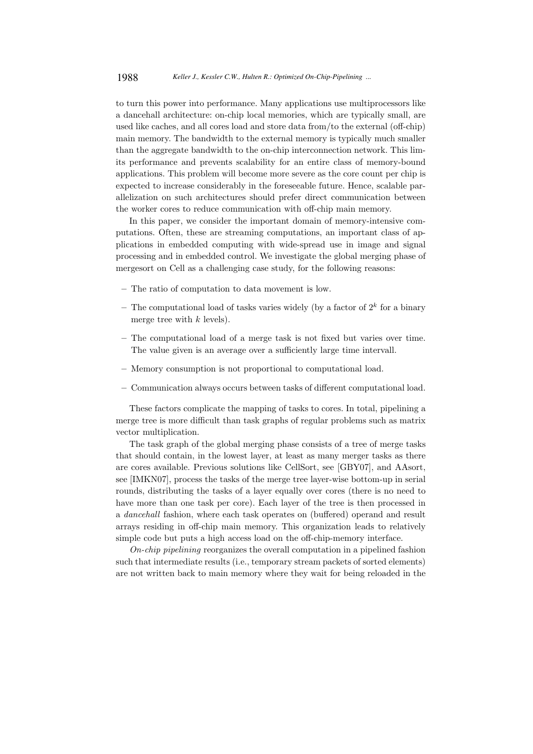to turn this power into performance. Many applications use multiprocessors like a dancehall architecture: on-chip local memories, which are typically small, are used like caches, and all cores load and store data from/to the external (off-chip) main memory. The bandwidth to the external memory is typically much smaller than the aggregate bandwidth to the on-chip interconnection network. This limits performance and prevents scalability for an entire class of memory-bound applications. This problem will become more severe as the core count per chip is expected to increase considerably in the foreseeable future. Hence, scalable parallelization on such architectures should prefer direct communication between the worker cores to reduce communication with off-chip main memory.

In this paper, we consider the important domain of memory-intensive computations. Often, these are streaming computations, an important class of applications in embedded computing with wide-spread use in image and signal processing and in embedded control. We investigate the global merging phase of mergesort on Cell as a challenging case study, for the following reasons:

- The ratio of computation to data movement is low.
- The computational load of tasks varies widely (by a factor of  $2^k$  for a binary merge tree with  $k$  levels).
- The computational load of a merge task is not fixed but varies over time. The value given is an average over a sufficiently large time intervall.
- Memory consumption is not proportional to computational load.
- Communication always occurs between tasks of different computational load.

These factors complicate the mapping of tasks to cores. In total, pipelining a merge tree is more difficult than task graphs of regular problems such as matrix vector multiplication.

The task graph of the global merging phase consists of a tree of merge tasks that should contain, in the lowest layer, at least as many merger tasks as there are cores available. Previous solutions like CellSort, see [GBY07], and AAsort, see [IMKN07], process the tasks of the merge tree layer-wise bottom-up in serial rounds, distributing the tasks of a layer equally over cores (there is no need to have more than one task per core). Each layer of the tree is then processed in a dancehall fashion, where each task operates on (buffered) operand and result arrays residing in off-chip main memory. This organization leads to relatively simple code but puts a high access load on the off-chip-memory interface.

On-chip pipelining reorganizes the overall computation in a pipelined fashion such that intermediate results (i.e., temporary stream packets of sorted elements) are not written back to main memory where they wait for being reloaded in the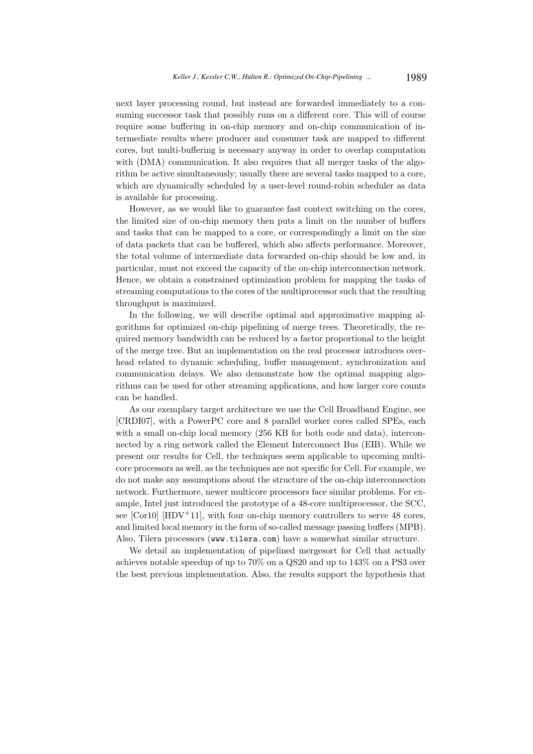next layer processing round, but instead are forwarded immediately to a consuming successor task that possibly runs on a different core. This will of course require some buffering in on-chip memory and on-chip communication of intermediate results where producer and consumer task are mapped to different cores, but multi-buffering is necessary anyway in order to overlap computation with (DMA) communication. It also requires that all merger tasks of the algorithm be active simultaneously; usually there are several tasks mapped to a core, which are dynamically scheduled by a user-level round-robin scheduler as data is available for processing.

However, as we would like to guarantee fast context switching on the cores, the limited size of on-chip memory then puts a limit on the number of buffers and tasks that can be mapped to a core, or correspondingly a limit on the size of data packets that can be buffered, which also affects performance. Moreover, the total volume of intermediate data forwarded on-chip should be low and, in particular, must not exceed the capacity of the on-chip interconnection network. Hence, we obtain a constrained optimization problem for mapping the tasks of streaming computations to the cores of the multiprocessor such that the resulting throughput is maximized.

In the following, we will describe optimal and approximative mapping algorithms for optimized on-chip pipelining of merge trees. Theoretically, the required memory bandwidth can be reduced by a factor proportional to the height of the merge tree. But an implementation on the real processor introduces overhead related to dynamic scheduling, buffer management, synchronization and communication delays. We also demonstrate how the optimal mapping algorithms can be used for other streaming applications, and how larger core counts can be handled.

As our exemplary target architecture we use the Cell Broadband Engine, see [CRDI07], with a PowerPC core and 8 parallel worker cores called SPEs, each with a small on-chip local memory (256 KB for both code and data), interconnected by a ring network called the Element Interconnect Bus (EIB). While we present our results for Cell, the techniques seem applicable to upcoming multicore processors as well, as the techniques are not specific for Cell. For example, we do not make any assumptions about the structure of the on-chip interconnection network. Furthermore, newer multicore processors face similar problems. For example, Intel just introduced the prototype of a 48-core multiprocessor, the SCC, see  $[Cor10]$   $[HDV^+11]$ , with four on-chip memory controllers to serve 48 cores, and limited local memory in the form of so-called message passing buffers (MPB). Also, Tilera processors (www.tilera.com) have a somewhat similar structure.

We detail an implementation of pipelined mergesort for Cell that actually achieves notable speedup of up to 70% on a QS20 and up to 143% on a PS3 over the best previous implementation. Also, the results support the hypothesis that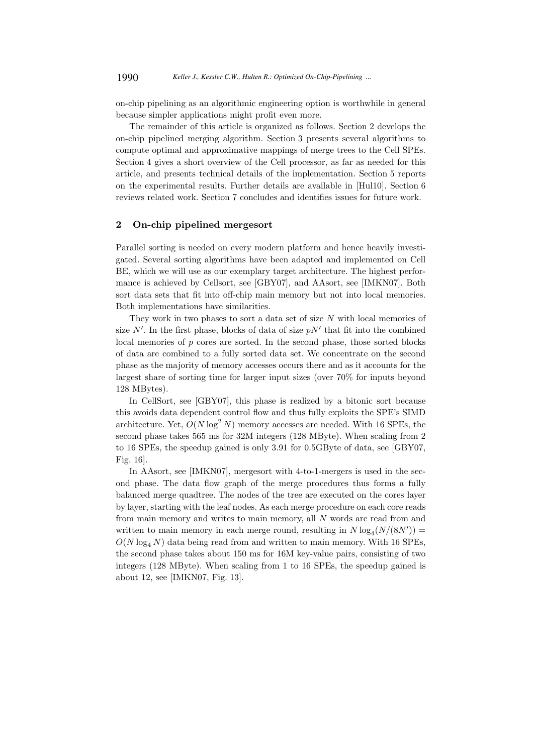on-chip pipelining as an algorithmic engineering option is worthwhile in general because simpler applications might profit even more.

The remainder of this article is organized as follows. Section 2 develops the on-chip pipelined merging algorithm. Section 3 presents several algorithms to compute optimal and approximative mappings of merge trees to the Cell SPEs. Section 4 gives a short overview of the Cell processor, as far as needed for this article, and presents technical details of the implementation. Section 5 reports on the experimental results. Further details are available in [Hul10]. Section 6 reviews related work. Section 7 concludes and identifies issues for future work.

# 2 On-chip pipelined mergesort

Parallel sorting is needed on every modern platform and hence heavily investigated. Several sorting algorithms have been adapted and implemented on Cell BE, which we will use as our exemplary target architecture. The highest performance is achieved by Cellsort, see [GBY07], and AAsort, see [IMKN07]. Both sort data sets that fit into off-chip main memory but not into local memories. Both implementations have similarities.

They work in two phases to sort a data set of size  $N$  with local memories of size  $N'$ . In the first phase, blocks of data of size  $pN'$  that fit into the combined local memories of  $p$  cores are sorted. In the second phase, those sorted blocks of data are combined to a fully sorted data set. We concentrate on the second phase as the majority of memory accesses occurs there and as it accounts for the largest share of sorting time for larger input sizes (over 70% for inputs beyond 128 MBytes).

In CellSort, see [GBY07], this phase is realized by a bitonic sort because this avoids data dependent control flow and thus fully exploits the SPE's SIMD architecture. Yet,  $O(N \log^2 N)$  memory accesses are needed. With 16 SPEs, the second phase takes 565 ms for 32M integers (128 MByte). When scaling from 2 to 16 SPEs, the speedup gained is only 3.91 for 0.5GByte of data, see [GBY07, Fig. 16].

In AAsort, see [IMKN07], mergesort with 4-to-1-mergers is used in the second phase. The data flow graph of the merge procedures thus forms a fully balanced merge quadtree. The nodes of the tree are executed on the cores layer by layer, starting with the leaf nodes. As each merge procedure on each core reads from main memory and writes to main memory, all N words are read from and written to main memory in each merge round, resulting in  $N \log_4(N/(8N'))$  =  $O(N \log_4 N)$  data being read from and written to main memory. With 16 SPEs, the second phase takes about 150 ms for 16M key-value pairs, consisting of two integers (128 MByte). When scaling from 1 to 16 SPEs, the speedup gained is about 12, see [IMKN07, Fig. 13].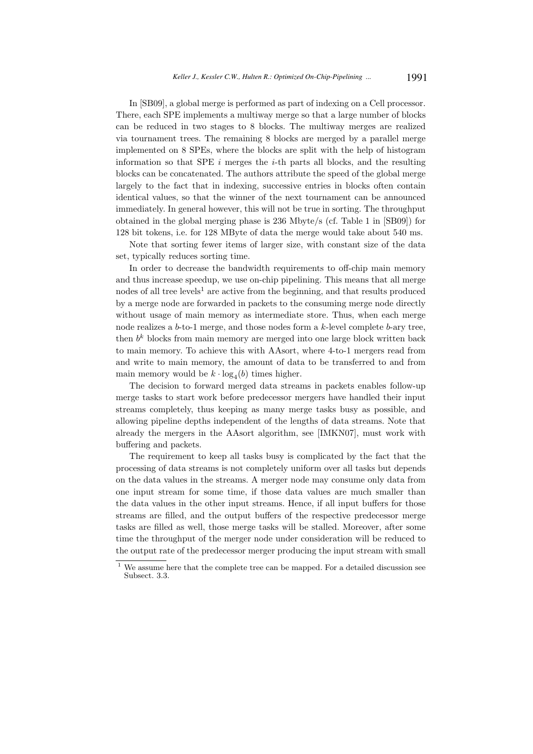In [SB09], a global merge is performed as part of indexing on a Cell processor. There, each SPE implements a multiway merge so that a large number of blocks can be reduced in two stages to 8 blocks. The multiway merges are realized via tournament trees. The remaining 8 blocks are merged by a parallel merge implemented on 8 SPEs, where the blocks are split with the help of histogram information so that SPE  $i$  merges the  $i$ -th parts all blocks, and the resulting blocks can be concatenated. The authors attribute the speed of the global merge largely to the fact that in indexing, successive entries in blocks often contain identical values, so that the winner of the next tournament can be announced immediately. In general however, this will not be true in sorting. The throughput obtained in the global merging phase is 236 Mbyte/s (cf. Table 1 in [SB09]) for 128 bit tokens, i.e. for 128 MByte of data the merge would take about 540 ms.

Note that sorting fewer items of larger size, with constant size of the data set, typically reduces sorting time.

In order to decrease the bandwidth requirements to off-chip main memory and thus increase speedup, we use on-chip pipelining. This means that all merge nodes of all tree levels<sup>1</sup> are active from the beginning, and that results produced by a merge node are forwarded in packets to the consuming merge node directly without usage of main memory as intermediate store. Thus, when each merge node realizes a  $b$ -to-1 merge, and those nodes form a  $k$ -level complete  $b$ -ary tree, then  $b^k$  blocks from main memory are merged into one large block written back to main memory. To achieve this with AAsort, where 4-to-1 mergers read from and write to main memory, the amount of data to be transferred to and from main memory would be  $k \cdot \log_4(b)$  times higher.

The decision to forward merged data streams in packets enables follow-up merge tasks to start work before predecessor mergers have handled their input streams completely, thus keeping as many merge tasks busy as possible, and allowing pipeline depths independent of the lengths of data streams. Note that already the mergers in the AAsort algorithm, see [IMKN07], must work with buffering and packets.

The requirement to keep all tasks busy is complicated by the fact that the processing of data streams is not completely uniform over all tasks but depends on the data values in the streams. A merger node may consume only data from one input stream for some time, if those data values are much smaller than the data values in the other input streams. Hence, if all input buffers for those streams are filled, and the output buffers of the respective predecessor merge tasks are filled as well, those merge tasks will be stalled. Moreover, after some time the throughput of the merger node under consideration will be reduced to the output rate of the predecessor merger producing the input stream with small

We assume here that the complete tree can be mapped. For a detailed discussion see Subsect. 3.3.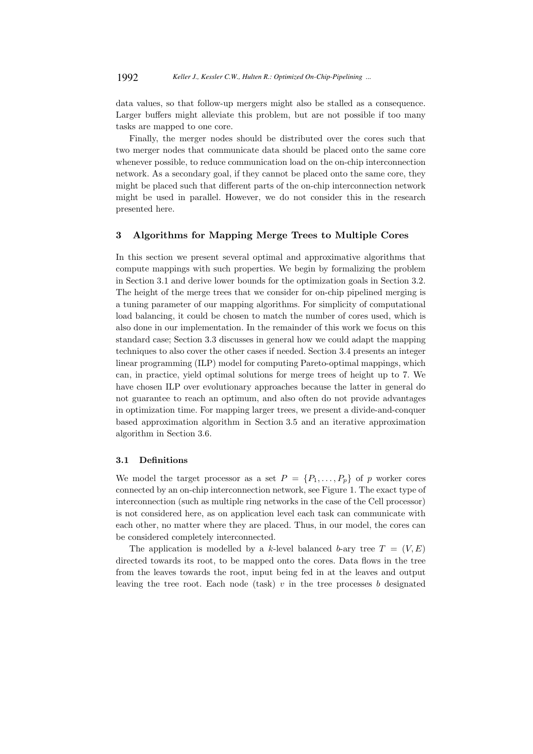data values, so that follow-up mergers might also be stalled as a consequence. Larger buffers might alleviate this problem, but are not possible if too many tasks are mapped to one core.

Finally, the merger nodes should be distributed over the cores such that two merger nodes that communicate data should be placed onto the same core whenever possible, to reduce communication load on the on-chip interconnection network. As a secondary goal, if they cannot be placed onto the same core, they might be placed such that different parts of the on-chip interconnection network might be used in parallel. However, we do not consider this in the research presented here.

# 3 Algorithms for Mapping Merge Trees to Multiple Cores

In this section we present several optimal and approximative algorithms that compute mappings with such properties. We begin by formalizing the problem in Section 3.1 and derive lower bounds for the optimization goals in Section 3.2. The height of the merge trees that we consider for on-chip pipelined merging is a tuning parameter of our mapping algorithms. For simplicity of computational load balancing, it could be chosen to match the number of cores used, which is also done in our implementation. In the remainder of this work we focus on this standard case; Section 3.3 discusses in general how we could adapt the mapping techniques to also cover the other cases if needed. Section 3.4 presents an integer linear programming (ILP) model for computing Pareto-optimal mappings, which can, in practice, yield optimal solutions for merge trees of height up to 7. We have chosen ILP over evolutionary approaches because the latter in general do not guarantee to reach an optimum, and also often do not provide advantages in optimization time. For mapping larger trees, we present a divide-and-conquer based approximation algorithm in Section 3.5 and an iterative approximation algorithm in Section 3.6.

### 3.1 Definitions

We model the target processor as a set  $P = \{P_1, \ldots, P_p\}$  of p worker cores connected by an on-chip interconnection network, see Figure 1. The exact type of interconnection (such as multiple ring networks in the case of the Cell processor) is not considered here, as on application level each task can communicate with each other, no matter where they are placed. Thus, in our model, the cores can be considered completely interconnected.

The application is modelled by a k-level balanced b-ary tree  $T = (V, E)$ directed towards its root, to be mapped onto the cores. Data flows in the tree from the leaves towards the root, input being fed in at the leaves and output leaving the tree root. Each node (task)  $v$  in the tree processes  $b$  designated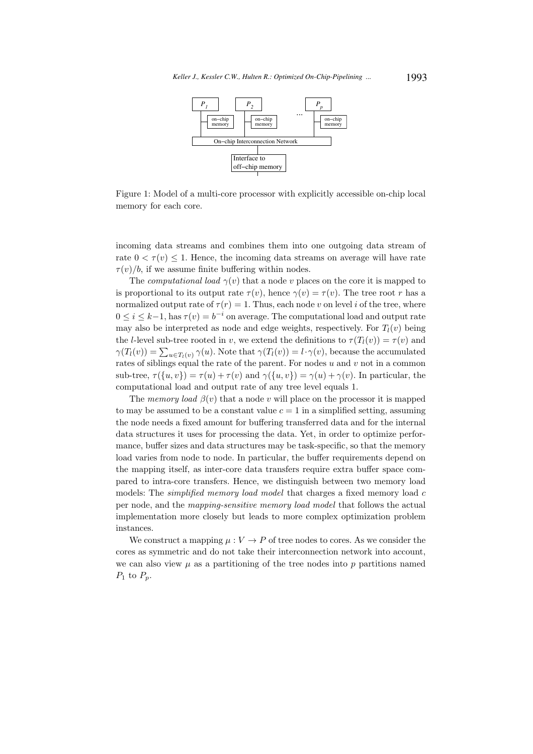

Figure 1: Model of a multi-core processor with explicitly accessible on-chip local memory for each core.

incoming data streams and combines them into one outgoing data stream of rate  $0 < \tau(v) \leq 1$ . Hence, the incoming data streams on average will have rate  $\tau(v)/b$ , if we assume finite buffering within nodes.

The computational load  $\gamma(v)$  that a node v places on the core it is mapped to is proportional to its output rate  $\tau(v)$ , hence  $\gamma(v) = \tau(v)$ . The tree root r has a normalized output rate of  $\tau(r) = 1$ . Thus, each node v on level i of the tree, where  $0 \leq i \leq k-1$ , has  $\tau(v) = b^{-i}$  on average. The computational load and output rate may also be interpreted as node and edge weights, respectively. For  $T_l(v)$  being the *l*-level sub-tree rooted in v, we extend the definitions to  $\tau(T_l(v)) = \tau(v)$  and  $\gamma(T_l(v)) = \sum_{u \in T_l(v)} \gamma(u)$ . Note that  $\gamma(T_l(v)) = l \cdot \gamma(v)$ , because the accumulated rates of siblings equal the rate of the parent. For nodes  $u$  and  $v$  not in a common sub-tree,  $\tau({u, v}) = \tau(u) + \tau(v)$  and  $\gamma({u, v}) = \gamma(u) + \gamma(v)$ . In particular, the computational load and output rate of any tree level equals 1.

The memory load  $\beta(v)$  that a node v will place on the processor it is mapped to may be assumed to be a constant value  $c = 1$  in a simplified setting, assuming the node needs a fixed amount for buffering transferred data and for the internal data structures it uses for processing the data. Yet, in order to optimize performance, buffer sizes and data structures may be task-specific, so that the memory load varies from node to node. In particular, the buffer requirements depend on the mapping itself, as inter-core data transfers require extra buffer space compared to intra-core transfers. Hence, we distinguish between two memory load models: The *simplified memory load model* that charges a fixed memory load  $c$ per node, and the mapping-sensitive memory load model that follows the actual implementation more closely but leads to more complex optimization problem instances.

We construct a mapping  $\mu: V \to P$  of tree nodes to cores. As we consider the cores as symmetric and do not take their interconnection network into account, we can also view  $\mu$  as a partitioning of the tree nodes into  $p$  partitions named  $P_1$  to  $P_p$ .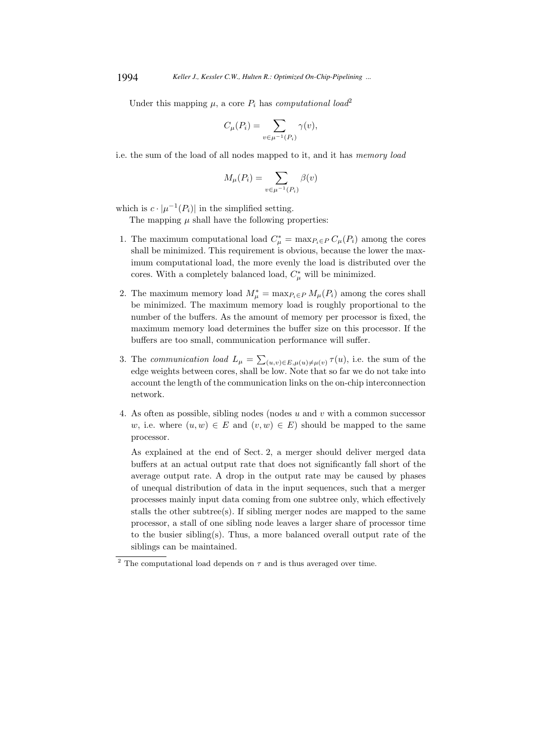Under this mapping  $\mu$ , a core  $P_i$  has *computational load*<sup>2</sup>

$$
C_{\mu}(P_i) = \sum_{v \in \mu^{-1}(P_i)} \gamma(v),
$$

i.e. the sum of the load of all nodes mapped to it, and it has memory load

$$
M_{\mu}(P_i) = \sum_{v \in \mu^{-1}(P_i)} \beta(v)
$$

which is  $c \cdot |\mu^{-1}(P_i)|$  in the simplified setting.

The mapping  $\mu$  shall have the following properties:

- 1. The maximum computational load  $C^*_{\mu} = \max_{P_i \in P} C_{\mu}(P_i)$  among the cores shall be minimized. This requirement is obvious, because the lower the maximum computational load, the more evenly the load is distributed over the cores. With a completely balanced load,  $C^*_{\mu}$  will be minimized.
- 2. The maximum memory load  $M^*_{\mu} = \max_{P_i \in P} M_{\mu}(P_i)$  among the cores shall be minimized. The maximum memory load is roughly proportional to the number of the buffers. As the amount of memory per processor is fixed, the maximum memory load determines the buffer size on this processor. If the buffers are too small, communication performance will suffer.
- 3. The communication load  $L_{\mu} = \sum_{(u,v)\in E, \mu(u)\neq \mu(v)} \tau(u)$ , i.e. the sum of the edge weights between cores, shall be low. Note that so far we do not take into account the length of the communication links on the on-chip interconnection network.
- 4. As often as possible, sibling nodes (nodes  $u$  and  $v$  with a common successor w, i.e. where  $(u, w) \in E$  and  $(v, w) \in E$ ) should be mapped to the same processor.

As explained at the end of Sect. 2, a merger should deliver merged data buffers at an actual output rate that does not significantly fall short of the average output rate. A drop in the output rate may be caused by phases of unequal distribution of data in the input sequences, such that a merger processes mainly input data coming from one subtree only, which effectively stalls the other subtree(s). If sibling merger nodes are mapped to the same processor, a stall of one sibling node leaves a larger share of processor time to the busier sibling(s). Thus, a more balanced overall output rate of the siblings can be maintained.

<sup>&</sup>lt;sup>2</sup> The computational load depends on  $\tau$  and is thus averaged over time.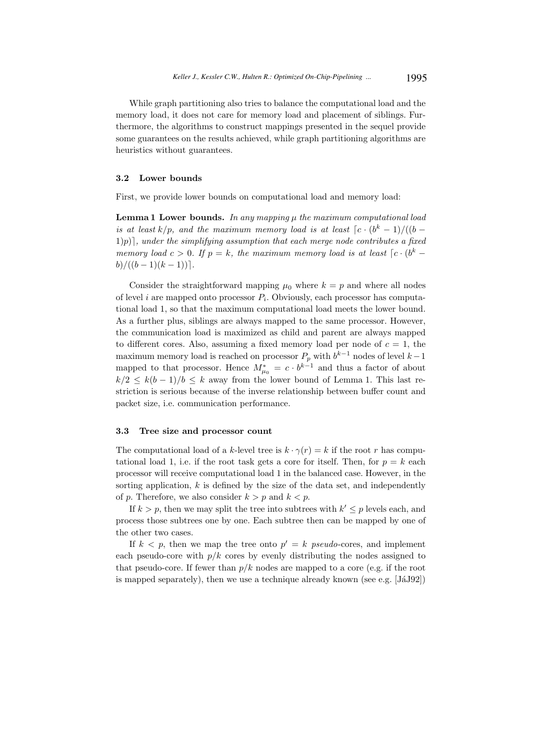While graph partitioning also tries to balance the computational load and the memory load, it does not care for memory load and placement of siblings. Furthermore, the algorithms to construct mappings presented in the sequel provide some guarantees on the results achieved, while graph partitioning algorithms are heuristics without guarantees.

# 3.2 Lower bounds

First, we provide lower bounds on computational load and memory load:

**Lemma 1 Lower bounds.** In any mapping  $\mu$  the maximum computational load is at least  $k/p$ , and the maximum memory load is at least  $\lceil c \cdot (b^k-1) / ((b 1)p$ , under the simplifying assumption that each merge node contributes a fixed memory load  $c > 0$ . If  $p = k$ , the maximum memory load is at least  $\lceil c \cdot (b^k$  $b)/((b-1)(k-1))$ .

Consider the straightforward mapping  $\mu_0$  where  $k = p$  and where all nodes of level *i* are mapped onto processor  $P_i$ . Obviously, each processor has computational load 1, so that the maximum computational load meets the lower bound. As a further plus, siblings are always mapped to the same processor. However, the communication load is maximized as child and parent are always mapped to different cores. Also, assuming a fixed memory load per node of  $c = 1$ , the maximum memory load is reached on processor  $P_p$  with  $b^{k-1}$  nodes of level  $k-1$ mapped to that processor. Hence  $M_{\mu_0}^* = c \cdot b^{k-1}$  and thus a factor of about  $k/2 \leq k(b-1)/b \leq k$  away from the lower bound of Lemma 1. This last restriction is serious because of the inverse relationship between buffer count and packet size, i.e. communication performance.

# 3.3 Tree size and processor count

The computational load of a k-level tree is  $k \cdot \gamma(r) = k$  if the root r has computational load 1, i.e. if the root task gets a core for itself. Then, for  $p = k$  each processor will receive computational load 1 in the balanced case. However, in the sorting application,  $k$  is defined by the size of the data set, and independently of p. Therefore, we also consider  $k > p$  and  $k < p$ .

If  $k > p$ , then we may split the tree into subtrees with  $k' \leq p$  levels each, and process those subtrees one by one. Each subtree then can be mapped by one of the other two cases.

If  $k < p$ , then we map the tree onto  $p' = k$  pseudo-cores, and implement each pseudo-core with  $p/k$  cores by evenly distributing the nodes assigned to that pseudo-core. If fewer than  $p/k$  nodes are mapped to a core (e.g. if the root is mapped separately), then we use a technique already known (see e.g.  $[\text{JáJ92}]$ )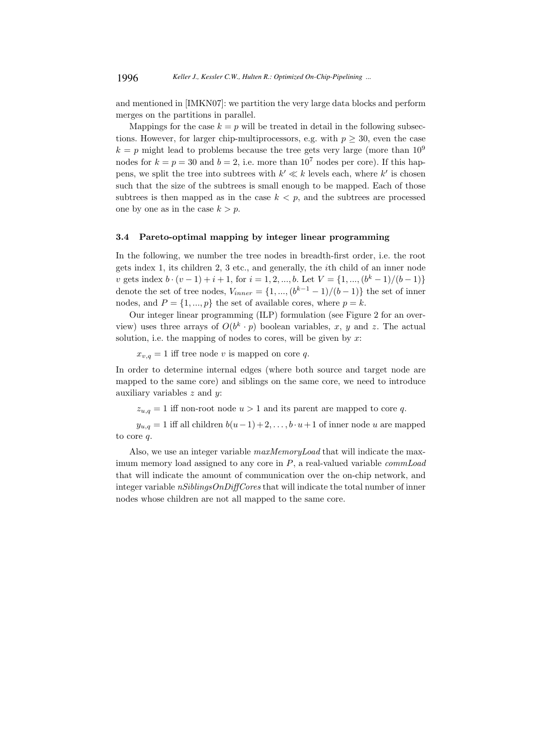and mentioned in [IMKN07]: we partition the very large data blocks and perform merges on the partitions in parallel.

Mappings for the case  $k = p$  will be treated in detail in the following subsections. However, for larger chip-multiprocessors, e.g. with  $p \geq 30$ , even the case  $k = p$  might lead to problems because the tree gets very large (more than  $10^9$ ) nodes for  $k = p = 30$  and  $b = 2$ , i.e. more than  $10^7$  nodes per core). If this happens, we split the tree into subtrees with  $k' \ll k$  levels each, where  $k'$  is chosen such that the size of the subtrees is small enough to be mapped. Each of those subtrees is then mapped as in the case  $k < p$ , and the subtrees are processed one by one as in the case  $k > p$ .

### 3.4 Pareto-optimal mapping by integer linear programming

In the following, we number the tree nodes in breadth-first order, i.e. the root gets index 1, its children 2, 3 etc., and generally, the ith child of an inner node v gets index  $b \cdot (v-1) + i + 1$ , for  $i = 1, 2, ..., b$ . Let  $V = \{1, ..., (b^k - 1)/(b-1)\}$ denote the set of tree nodes,  $V_{inner} = \{1, ..., (b^{k-1} - 1)/(b - 1)\}\)$  the set of inner nodes, and  $P = \{1, ..., p\}$  the set of available cores, where  $p = k$ .

Our integer linear programming (ILP) formulation (see Figure 2 for an overview) uses three arrays of  $O(b^k \cdot p)$  boolean variables, x, y and z. The actual solution, i.e. the mapping of nodes to cores, will be given by  $x$ :

 $x_{v,q} = 1$  iff tree node v is mapped on core q.

In order to determine internal edges (where both source and target node are mapped to the same core) and siblings on the same core, we need to introduce auxiliary variables  $z$  and  $y$ :

 $z_{u,q} = 1$  iff non-root node  $u > 1$  and its parent are mapped to core q.

 $y_{u,q} = 1$  iff all children  $b(u-1) + 2, \ldots, b \cdot u+1$  of inner node u are mapped to core q.

Also, we use an integer variable  $maxMemoryLoad$  that will indicate the maximum memory load assigned to any core in  $P$ , a real-valued variable *commLoad* that will indicate the amount of communication over the on-chip network, and integer variable  $nSiblingSOnDiffCores$  that will indicate the total number of inner nodes whose children are not all mapped to the same core.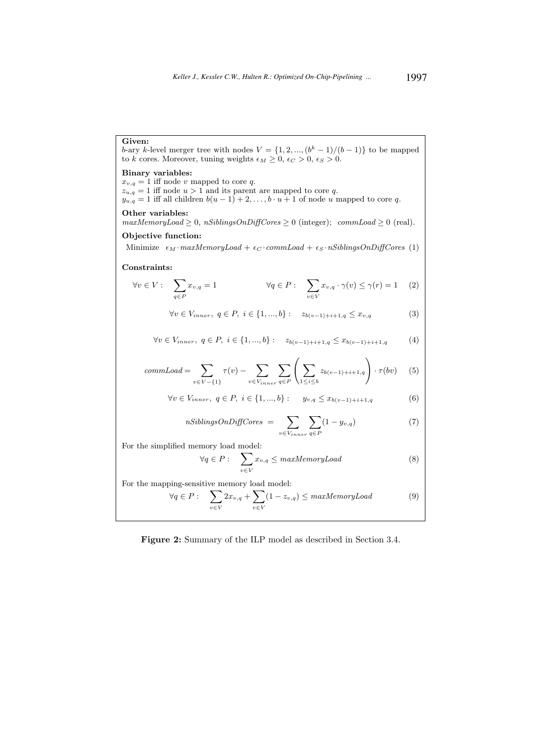# Given:

b-ary k-level merger tree with nodes  $V = \{1, 2, ..., (b^k - 1)/(b - 1)\}\)$  to be mapped to k cores. Moreover, tuning weights  $\epsilon_M \geq 0$ ,  $\epsilon_C > 0$ ,  $\epsilon_S > 0$ .

# Binary variables:

 $x_{v,q} = 1$  iff node v mapped to core q.  $z_{u,q} = 1$  iff node  $u > 1$  and its parent are mapped to core q.  $y_{u,q} = 1$  iff all children  $b(u-1) + 2, \ldots, b \cdot u + 1$  of node u mapped to core q.

#### Other variables:

 $maxMemoryLoad \geq 0$ ,  $nSibling SOnDiffCores \geq 0$  (integer);  $commLoad \geq 0$  (real).

# Objective function:

Minimize  $\epsilon_M$  ·maxMemoryLoad +  $\epsilon_C$  ·commLoad +  $\epsilon_S$  ·nSiblingsOnDiffCores (1)

#### Constraints:

$$
\forall v \in V: \quad \sum_{q \in P} x_{v,q} = 1 \qquad \qquad \forall q \in P: \quad \sum_{v \in V} x_{v,q} \cdot \gamma(v) \leq \gamma(r) = 1 \quad (2)
$$

$$
\forall v \in V_{inner}, \ q \in P, \ i \in \{1, ..., b\} : z_{b(v-1)+i+1,q} \le x_{v,q}
$$
 (3)

$$
\forall v \in V_{inner}, q \in P, i \in \{1, ..., b\} : z_{b(v-1)+i+1,q} \leq x_{b(v-1)+i+1,q} \tag{4}
$$

$$
commLoad = \sum_{v \in V - \{1\}} \tau(v) - \sum_{v \in V_{inner}} \sum_{q \in P} \left( \sum_{1 \le i \le b} z_{b(v-1)+i+1,q} \right) \cdot \tau(bv) \tag{5}
$$

$$
\forall v \in V_{inner}, \ q \in P, \ i \in \{1, ..., b\} : \qquad y_{v,q} \le x_{b(v-1)+i+1,q} \tag{6}
$$

$$
nSibling \text{S}OnDiff \text{Cores} = \sum_{v \in V_{inner}} \sum_{q \in P} (1 - y_{v,q}) \tag{7}
$$

For the simplified memory load model:

$$
\forall q \in P: \quad \sum_{v \in V} x_{v,q} \leq \text{maxMemoryLoad} \tag{8}
$$

For the mapping-sensitive memory load model:

$$
\forall q \in P: \quad \sum_{v \in V} 2x_{v,q} + \sum_{v \in V} (1 - z_{v,q}) \leq \text{maxMemoryLoad} \tag{9}
$$

Figure 2: Summary of the ILP model as described in Section 3.4.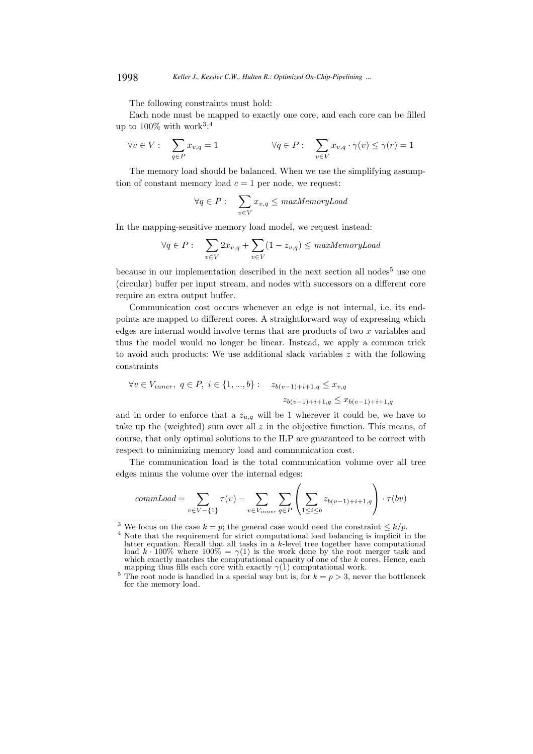The following constraints must hold:

Each node must be mapped to exactly one core, and each core can be filled up to  $100\%$  with work<sup>3</sup>:<sup>4</sup>

$$
\forall v \in V: \quad \sum_{q \in P} x_{v,q} = 1 \qquad \qquad \forall q \in P: \quad \sum_{v \in V} x_{v,q} \cdot \gamma(v) \leq \gamma(r) = 1
$$

The memory load should be balanced. When we use the simplifying assumption of constant memory load  $c = 1$  per node, we request:

$$
\forall q \in P: \quad \sum_{v \in V} x_{v,q} \leq \text{maxMemoryLoad}
$$

In the mapping-sensitive memory load model, we request instead:

$$
\forall q \in P: \quad \sum_{v \in V} 2x_{v,q} + \sum_{v \in V} (1 - z_{v,q}) \leq \text{maxMemoryLoad}
$$

because in our implementation described in the next section all nodes<sup>5</sup> use one (circular) buffer per input stream, and nodes with successors on a different core require an extra output buffer.

Communication cost occurs whenever an edge is not internal, i.e. its endpoints are mapped to different cores. A straightforward way of expressing which edges are internal would involve terms that are products of two  $x$  variables and thus the model would no longer be linear. Instead, we apply a common trick to avoid such products: We use additional slack variables z with the following constraints

$$
\forall v \in V_{inner}, q \in P, i \in \{1, ..., b\} : z_{b(v-1)+i+1,q} \le x_{v,q}
$$

$$
z_{b(v-1)+i+1,q} \le x_{b(v-1)+i+1,q}
$$

and in order to enforce that a  $z_{u,q}$  will be 1 wherever it could be, we have to take up the (weighted) sum over all  $z$  in the objective function. This means, of course, that only optimal solutions to the ILP are guaranteed to be correct with respect to minimizing memory load and communication cost.

The communication load is the total communication volume over all tree edges minus the volume over the internal edges:

$$
commLoad = \sum_{v \in V - \{1\}} \tau(v) - \sum_{v \in V_{inner}} \sum_{q \in P} \left( \sum_{1 \leq i \leq b} z_{b(v-1)+i+1,q} \right) \cdot \tau(bv)
$$

<sup>&</sup>lt;sup>3</sup> We focus on the case  $k = p$ ; the general case would need the constraint  $\leq k/p$ .

<sup>&</sup>lt;sup>4</sup> Note that the requirement for strict computational load balancing is implicit in the latter equation. Recall that all tasks in a k-level tree together have computational load k · 100% where 100% =  $\gamma(1)$  is the work done by the root merger task and which exactly matches the computational capacity of one of the k cores. Hence, each mapping thus fills each core with exactly  $\gamma(1)$  computational work.

<sup>&</sup>lt;sup>5</sup> The root node is handled in a special way but is, for  $k = p > 3$ , never the bottleneck for the memory load.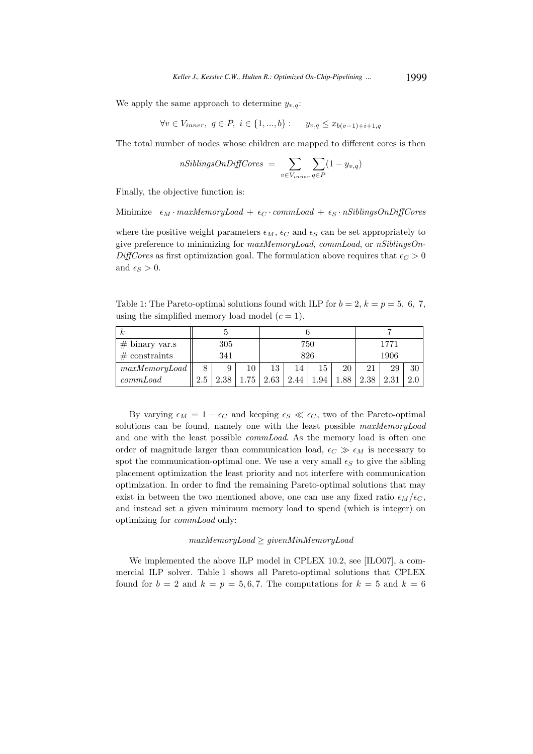We apply the same approach to determine  $y_{v,q}$ :

$$
\forall v \in V_{inner}, q \in P, i \in \{1, ..., b\} : y_{v,q} \le x_{b(v-1)+i+1,q}
$$

The total number of nodes whose children are mapped to different cores is then

$$
nSibling \text{S}OnDiff \text{Cores} = \sum_{v \in V_{inner}} \sum_{q \in P} (1 - y_{v,q})
$$

Finally, the objective function is:

Minimize  $\epsilon_M \cdot maxMemoryLoad + \epsilon_C \cdot commLoad + \epsilon_S \cdot nSibling aOnDiffCores$ 

where the positive weight parameters  $\epsilon_M$ ,  $\epsilon_C$  and  $\epsilon_S$  can be set appropriately to give preference to minimizing for maxMemoryLoad, commLoad, or nSiblingsOn-DiffCores as first optimization goal. The formulation above requires that  $\epsilon_C > 0$ and  $\epsilon_S > 0$ .

Table 1: The Pareto-optimal solutions found with ILP for  $b = 2$ ,  $k = p = 5, 6, 7$ , using the simplified memory load model  $(c = 1)$ .

| к                    |     |      |    |      |      |     |     |      |      |    |
|----------------------|-----|------|----|------|------|-----|-----|------|------|----|
| $# \n  binary var.s$ | 305 |      |    | 750  |      |     |     | 1771 |      |    |
| $#$ constraints      | 341 |      |    | 826  |      |     |     | 1906 |      |    |
| maxMemoryLoad        | 8   | 9    | 10 | 13   |      | 15  | 20  | 21   | 29   | 30 |
| commLoad             | 2.5 | 2.38 | 75 | 2.63 | 2.44 | .94 | .88 | 2.38 | 2.31 |    |

By varying  $\epsilon_M = 1 - \epsilon_C$  and keeping  $\epsilon_S \ll \epsilon_C$ , two of the Pareto-optimal solutions can be found, namely one with the least possible  $maxMemoryLoad$ and one with the least possible *commLoad*. As the memory load is often one order of magnitude larger than communication load,  $\epsilon_C \gg \epsilon_M$  is necessary to spot the communication-optimal one. We use a very small  $\epsilon_S$  to give the sibling placement optimization the least priority and not interfere with communication optimization. In order to find the remaining Pareto-optimal solutions that may exist in between the two mentioned above, one can use any fixed ratio  $\epsilon_M/\epsilon_C$ , and instead set a given minimum memory load to spend (which is integer) on optimizing for commLoad only:

#### maxMemoryLoad ≥ givenMinMemoryLoad

We implemented the above ILP model in CPLEX 10.2, see [ILO07], a commercial ILP solver. Table 1 shows all Pareto-optimal solutions that CPLEX found for  $b = 2$  and  $k = p = 5, 6, 7$ . The computations for  $k = 5$  and  $k = 6$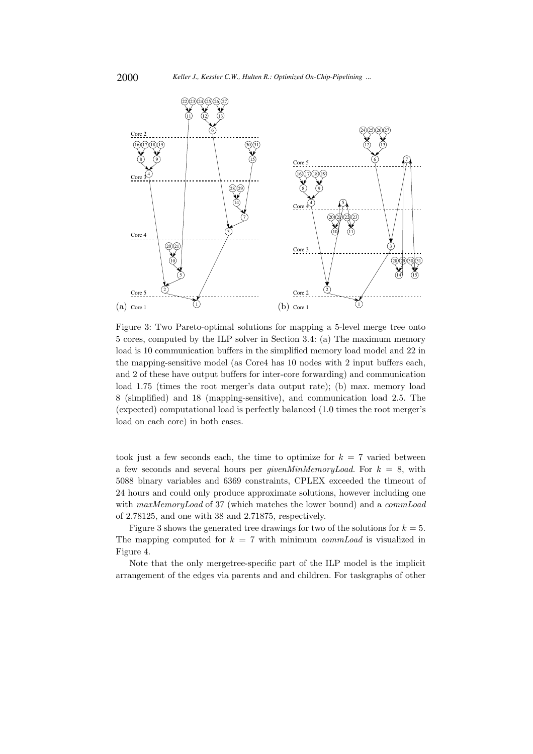

Figure 3: Two Pareto-optimal solutions for mapping a 5-level merge tree onto 5 cores, computed by the ILP solver in Section 3.4: (a) The maximum memory load is 10 communication buffers in the simplified memory load model and 22 in the mapping-sensitive model (as Core4 has 10 nodes with 2 input buffers each, and 2 of these have output buffers for inter-core forwarding) and communication load 1.75 (times the root merger's data output rate); (b) max. memory load 8 (simplified) and 18 (mapping-sensitive), and communication load 2.5. The (expected) computational load is perfectly balanced (1.0 times the root merger's load on each core) in both cases.

took just a few seconds each, the time to optimize for  $k = 7$  varied between a few seconds and several hours per *givenMinMemoryLoad*. For  $k = 8$ , with 5088 binary variables and 6369 constraints, CPLEX exceeded the timeout of 24 hours and could only produce approximate solutions, however including one with maxMemoryLoad of 37 (which matches the lower bound) and a commLoad of 2.78125, and one with 38 and 2.71875, respectively.

Figure 3 shows the generated tree drawings for two of the solutions for  $k = 5$ . The mapping computed for  $k = 7$  with minimum *commLoad* is visualized in Figure 4.

Note that the only mergetree-specific part of the ILP model is the implicit arrangement of the edges via parents and and children. For taskgraphs of other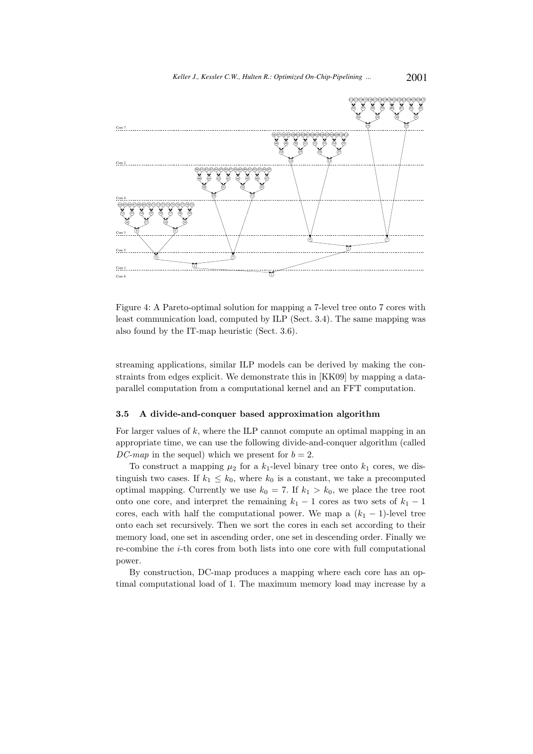

Figure 4: A Pareto-optimal solution for mapping a 7-level tree onto 7 cores with least communication load, computed by ILP (Sect. 3.4). The same mapping was also found by the IT-map heuristic (Sect. 3.6).

streaming applications, similar ILP models can be derived by making the constraints from edges explicit. We demonstrate this in [KK09] by mapping a dataparallel computation from a computational kernel and an FFT computation.

#### 3.5 A divide-and-conquer based approximation algorithm

For larger values of  $k$ , where the ILP cannot compute an optimal mapping in an appropriate time, we can use the following divide-and-conquer algorithm (called DC-map in the sequel) which we present for  $b = 2$ .

To construct a mapping  $\mu_2$  for a  $k_1$ -level binary tree onto  $k_1$  cores, we distinguish two cases. If  $k_1 \leq k_0$ , where  $k_0$  is a constant, we take a precomputed optimal mapping. Currently we use  $k_0 = 7$ . If  $k_1 > k_0$ , we place the tree root onto one core, and interpret the remaining  $k_1 - 1$  cores as two sets of  $k_1 - 1$ cores, each with half the computational power. We map a  $(k_1 - 1)$ -level tree onto each set recursively. Then we sort the cores in each set according to their memory load, one set in ascending order, one set in descending order. Finally we re-combine the i-th cores from both lists into one core with full computational power.

By construction, DC-map produces a mapping where each core has an optimal computational load of 1. The maximum memory load may increase by a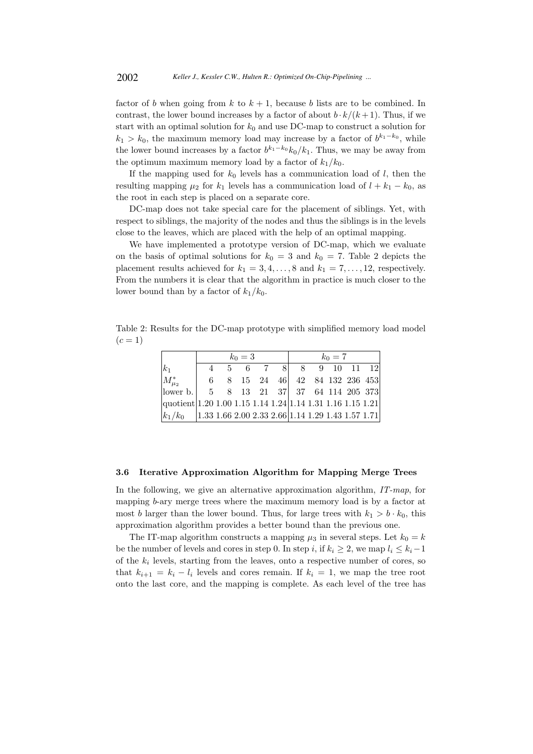factor of b when going from k to  $k + 1$ , because b lists are to be combined. In contrast, the lower bound increases by a factor of about  $b \cdot k/(k+1)$ . Thus, if we start with an optimal solution for  $k_0$  and use DC-map to construct a solution for  $k_1 > k_0$ , the maximum memory load may increase by a factor of  $b^{k_1-k_0}$ , while the lower bound increases by a factor  $b^{k_1-k_0} k_0/k_1$ . Thus, we may be away from the optimum maximum memory load by a factor of  $k_1/k_0$ .

If the mapping used for  $k_0$  levels has a communication load of  $l$ , then the resulting mapping  $\mu_2$  for  $k_1$  levels has a communication load of  $l + k_1 - k_0$ , as the root in each step is placed on a separate core.

DC-map does not take special care for the placement of siblings. Yet, with respect to siblings, the majority of the nodes and thus the siblings is in the levels close to the leaves, which are placed with the help of an optimal mapping.

We have implemented a prototype version of DC-map, which we evaluate on the basis of optimal solutions for  $k_0 = 3$  and  $k_0 = 7$ . Table 2 depicts the placement results achieved for  $k_1 = 3, 4, \ldots, 8$  and  $k_1 = 7, \ldots, 12$ , respectively. From the numbers it is clear that the algorithm in practice is much closer to the lower bound than by a factor of  $k_1/k_0$ .

Table 2: Results for the DC-map prototype with simplified memory load model  $(c = 1)$ 

|                                                                                                     | $k_0=3$ |  |  |  |                                |  | $k_0=7$ |  |  |  |  |  |
|-----------------------------------------------------------------------------------------------------|---------|--|--|--|--------------------------------|--|---------|--|--|--|--|--|
| $ k_1 $                                                                                             |         |  |  |  | 4 5 6 7 8 8 9 10 11 12         |  |         |  |  |  |  |  |
| $M_{\mu_2}^*$                                                                                       |         |  |  |  | 6 8 15 24 46 42 84 132 236 453 |  |         |  |  |  |  |  |
| lower b.   $5 \t 8 \t 13 \t 21 \t 37$   37 64 114 205 373                                           |         |  |  |  |                                |  |         |  |  |  |  |  |
| $ quotient 1.20 1.00 1.15 1.14 1.24 1.14 1.31 1.16 1.15 1.21$                                       |         |  |  |  |                                |  |         |  |  |  |  |  |
| $\vert k_1/k_0 \quad \vert 1.33 \ 1.66 \ 2.00 \ 2.33 \ 2.66 \vert 1.14 \ 1.29 \ 1.43 \ 1.57 \ 1.71$ |         |  |  |  |                                |  |         |  |  |  |  |  |

#### 3.6 Iterative Approximation Algorithm for Mapping Merge Trees

In the following, we give an alternative approximation algorithm,  $IT-map$ , for mapping b-ary merge trees where the maximum memory load is by a factor at most b larger than the lower bound. Thus, for large trees with  $k_1 > b \cdot k_0$ , this approximation algorithm provides a better bound than the previous one.

The IT-map algorithm constructs a mapping  $\mu_3$  in several steps. Let  $k_0 = k$ be the number of levels and cores in step 0. In step i, if  $k_i \geq 2$ , we map  $l_i \leq k_i-1$ of the  $k_i$  levels, starting from the leaves, onto a respective number of cores, so that  $k_{i+1} = k_i - l_i$  levels and cores remain. If  $k_i = 1$ , we map the tree root onto the last core, and the mapping is complete. As each level of the tree has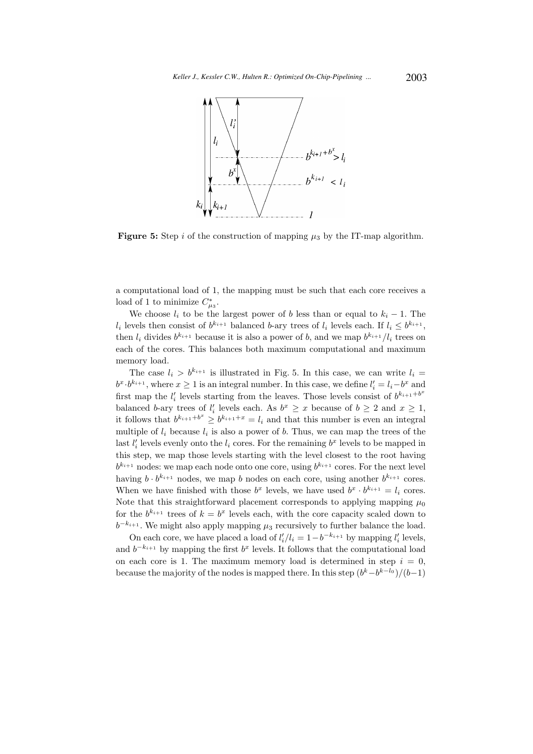

**Figure 5:** Step i of the construction of mapping  $\mu_3$  by the IT-map algorithm.

a computational load of 1, the mapping must be such that each core receives a load of 1 to minimize  $C_{\mu_3}^*$ .

We choose  $l_i$  to be the largest power of b less than or equal to  $k_i - 1$ . The  $l_i$  levels then consist of  $b^{k_{i+1}}$  balanced b-ary trees of  $l_i$  levels each. If  $l_i \leq b^{k_{i+1}},$ then  $l_i$  divides  $b^{k_{i+1}}$  because it is also a power of b, and we map  $b^{k_{i+1}}/l_i$  trees on each of the cores. This balances both maximum computational and maximum memory load.

The case  $l_i > b^{k_{i+1}}$  is illustrated in Fig. 5. In this case, we can write  $l_i =$  $b^x \cdot b^{k_{i+1}}$ , where  $x \ge 1$  is an integral number. In this case, we define  $l'_i = l_i - b^x$  and first map the  $l'_i$  levels starting from the leaves. Those levels consist of  $b^{k_{i+1}+b^x}$ balanced b-ary trees of  $l'_i$  levels each. As  $b^x \ge x$  because of  $b \ge 2$  and  $x \ge 1$ , it follows that  $b^{k_{i+1}+b^x} \geq b^{k_{i+1}+x} = l_i$  and that this number is even an integral multiple of  $l_i$  because  $l_i$  is also a power of b. Thus, we can map the trees of the last  $l'_i$  levels evenly onto the  $l_i$  cores. For the remaining  $b^x$  levels to be mapped in this step, we map those levels starting with the level closest to the root having  $b^{k_{i+1}}$  nodes: we map each node onto one core, using  $b^{k_{i+1}}$  cores. For the next level having  $b \cdot b^{k_{i+1}}$  nodes, we map b nodes on each core, using another  $b^{k_{i+1}}$  cores. When we have finished with those  $b^x$  levels, we have used  $b^x \cdot b^{k_{i+1}} = l_i$  cores. Note that this straightforward placement corresponds to applying mapping  $\mu_0$ for the  $b^{k_{i+1}}$  trees of  $k = b^x$  levels each, with the core capacity scaled down to  $b^{-k_{i+1}}$ . We might also apply mapping  $\mu_3$  recursively to further balance the load.

On each core, we have placed a load of  $l'_i/l_i = 1 - b^{-k_{i+1}}$  by mapping  $l'_i$  levels, and  $b^{-k_{i+1}}$  by mapping the first  $b^x$  levels. It follows that the computational load on each core is 1. The maximum memory load is determined in step  $i = 0$ , because the majority of the nodes is mapped there. In this step  $(b<sup>k</sup> - b<sup>k-l<sub>0</sub></sup>)/(b-1)$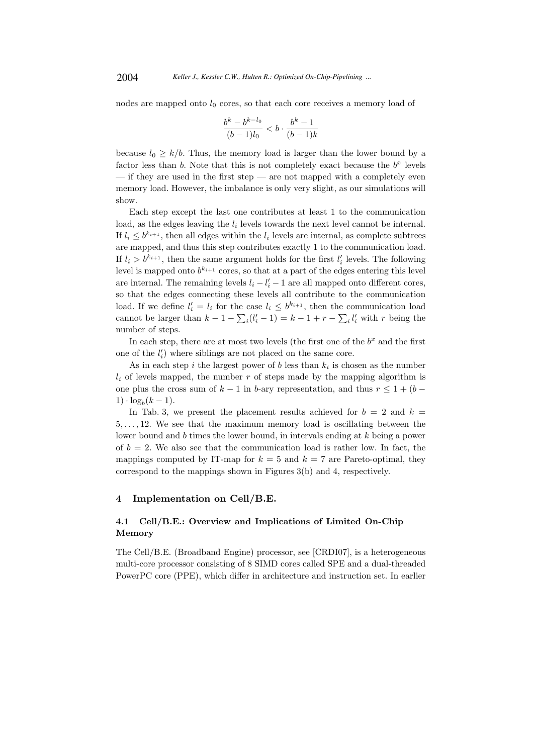nodes are mapped onto  $l_0$  cores, so that each core receives a memory load of

$$
\frac{b^k - b^{k-l_0}}{(b-1)l_0} < b \cdot \frac{b^k - 1}{(b-1)k}
$$

because  $l_0 \geq k/b$ . Thus, the memory load is larger than the lower bound by a factor less than  $b$ . Note that this is not completely exact because the  $b^x$  levels  $-$  if they are used in the first step  $-$  are not mapped with a completely even memory load. However, the imbalance is only very slight, as our simulations will show.

Each step except the last one contributes at least 1 to the communication load, as the edges leaving the  $l_i$  levels towards the next level cannot be internal. If  $l_i \leq b^{k_{i+1}}$ , then all edges within the  $l_i$  levels are internal, as complete subtrees are mapped, and thus this step contributes exactly 1 to the communication load. If  $l_i > b^{k_{i+1}}$ , then the same argument holds for the first  $l'_i$  levels. The following level is mapped onto  $b^{k_{i+1}}$  cores, so that at a part of the edges entering this level are internal. The remaining levels  $l_i - l'_i - 1$  are all mapped onto different cores, so that the edges connecting these levels all contribute to the communication load. If we define  $l'_i = l_i$  for the case  $l_i \leq b^{k_{i+1}}$ , then the communication load cannot be larger than  $k - 1 - \sum_i (l'_i - 1) = k - 1 + r - \sum_i l'_i$  with r being the number of steps.

In each step, there are at most two levels (the first one of the  $b<sup>x</sup>$  and the first one of the  $l_i'$ ) where siblings are not placed on the same core.

As in each step i the largest power of b less than  $k_i$  is chosen as the number  $l_i$  of levels mapped, the number r of steps made by the mapping algorithm is one plus the cross sum of  $k-1$  in b-ary representation, and thus  $r \leq 1 + (b 1) \cdot \log_b(k-1)$ .

In Tab. 3, we present the placement results achieved for  $b = 2$  and  $k =$ 5, . . . , 12. We see that the maximum memory load is oscillating between the lower bound and b times the lower bound, in intervals ending at k being a power of  $b = 2$ . We also see that the communication load is rather low. In fact, the mappings computed by IT-map for  $k = 5$  and  $k = 7$  are Pareto-optimal, they correspond to the mappings shown in Figures 3(b) and 4, respectively.

# 4 Implementation on Cell/B.E.

# 4.1 Cell/B.E.: Overview and Implications of Limited On-Chip Memory

The Cell/B.E. (Broadband Engine) processor, see [CRDI07], is a heterogeneous multi-core processor consisting of 8 SIMD cores called SPE and a dual-threaded PowerPC core (PPE), which differ in architecture and instruction set. In earlier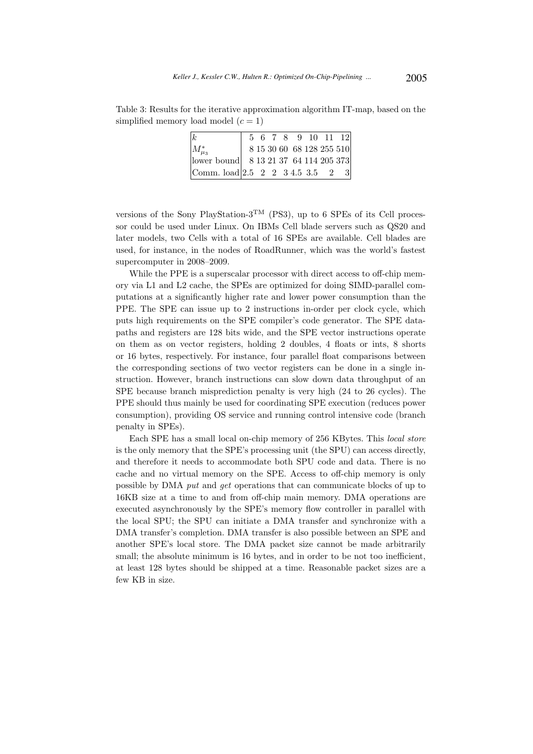Table 3: Results for the iterative approximation algorithm IT-map, based on the simplified memory load model  $(c = 1)$ 

| $\vert k \vert$                                |  |  |  | 5 6 7 8 9 10 11 12        |  |
|------------------------------------------------|--|--|--|---------------------------|--|
| $ M^*_{\mu_2} $                                |  |  |  | 8 15 30 60 68 128 255 510 |  |
| lower bound  8 13 21 37 64 114 205 373         |  |  |  |                           |  |
| Comm. load 2.5 $2 \t2 \t3 \t4.5 \t3.5 \t2 \t3$ |  |  |  |                           |  |

versions of the Sony PlayStation-3<sup>TM</sup> (PS3), up to 6 SPEs of its Cell processor could be used under Linux. On IBMs Cell blade servers such as QS20 and later models, two Cells with a total of 16 SPEs are available. Cell blades are used, for instance, in the nodes of RoadRunner, which was the world's fastest supercomputer in 2008–2009.

While the PPE is a superscalar processor with direct access to off-chip memory via L1 and L2 cache, the SPEs are optimized for doing SIMD-parallel computations at a significantly higher rate and lower power consumption than the PPE. The SPE can issue up to 2 instructions in-order per clock cycle, which puts high requirements on the SPE compiler's code generator. The SPE datapaths and registers are 128 bits wide, and the SPE vector instructions operate on them as on vector registers, holding 2 doubles, 4 floats or ints, 8 shorts or 16 bytes, respectively. For instance, four parallel float comparisons between the corresponding sections of two vector registers can be done in a single instruction. However, branch instructions can slow down data throughput of an SPE because branch misprediction penalty is very high (24 to 26 cycles). The PPE should thus mainly be used for coordinating SPE execution (reduces power consumption), providing OS service and running control intensive code (branch penalty in SPEs).

Each SPE has a small local on-chip memory of 256 KBytes. This local store is the only memory that the SPE's processing unit (the SPU) can access directly, and therefore it needs to accommodate both SPU code and data. There is no cache and no virtual memory on the SPE. Access to off-chip memory is only possible by DMA put and get operations that can communicate blocks of up to 16KB size at a time to and from off-chip main memory. DMA operations are executed asynchronously by the SPE's memory flow controller in parallel with the local SPU; the SPU can initiate a DMA transfer and synchronize with a DMA transfer's completion. DMA transfer is also possible between an SPE and another SPE's local store. The DMA packet size cannot be made arbitrarily small; the absolute minimum is 16 bytes, and in order to be not too inefficient, at least 128 bytes should be shipped at a time. Reasonable packet sizes are a few KB in size.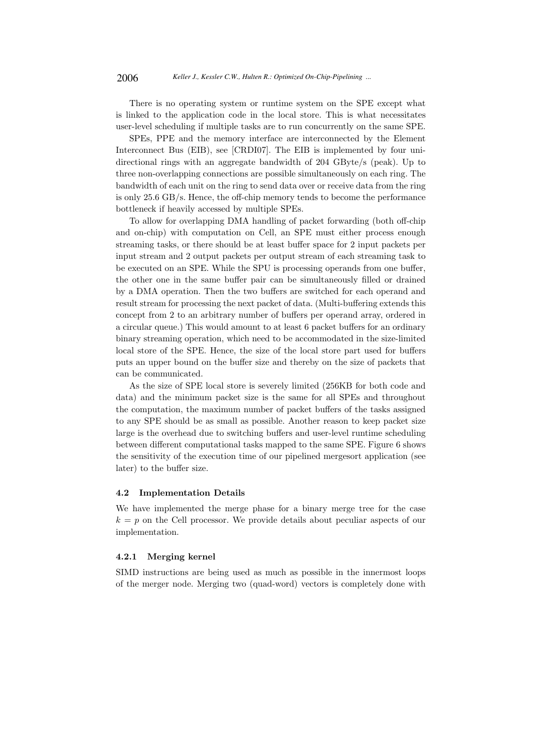There is no operating system or runtime system on the SPE except what is linked to the application code in the local store. This is what necessitates user-level scheduling if multiple tasks are to run concurrently on the same SPE.

SPEs, PPE and the memory interface are interconnected by the Element Interconnect Bus (EIB), see [CRDI07]. The EIB is implemented by four unidirectional rings with an aggregate bandwidth of 204 GByte/s (peak). Up to three non-overlapping connections are possible simultaneously on each ring. The bandwidth of each unit on the ring to send data over or receive data from the ring is only 25.6 GB/s. Hence, the off-chip memory tends to become the performance bottleneck if heavily accessed by multiple SPEs.

To allow for overlapping DMA handling of packet forwarding (both off-chip and on-chip) with computation on Cell, an SPE must either process enough streaming tasks, or there should be at least buffer space for 2 input packets per input stream and 2 output packets per output stream of each streaming task to be executed on an SPE. While the SPU is processing operands from one buffer, the other one in the same buffer pair can be simultaneously filled or drained by a DMA operation. Then the two buffers are switched for each operand and result stream for processing the next packet of data. (Multi-buffering extends this concept from 2 to an arbitrary number of buffers per operand array, ordered in a circular queue.) This would amount to at least 6 packet buffers for an ordinary binary streaming operation, which need to be accommodated in the size-limited local store of the SPE. Hence, the size of the local store part used for buffers puts an upper bound on the buffer size and thereby on the size of packets that can be communicated.

As the size of SPE local store is severely limited (256KB for both code and data) and the minimum packet size is the same for all SPEs and throughout the computation, the maximum number of packet buffers of the tasks assigned to any SPE should be as small as possible. Another reason to keep packet size large is the overhead due to switching buffers and user-level runtime scheduling between different computational tasks mapped to the same SPE. Figure 6 shows the sensitivity of the execution time of our pipelined mergesort application (see later) to the buffer size.

# 4.2 Implementation Details

We have implemented the merge phase for a binary merge tree for the case  $k = p$  on the Cell processor. We provide details about peculiar aspects of our implementation.

### 4.2.1 Merging kernel

SIMD instructions are being used as much as possible in the innermost loops of the merger node. Merging two (quad-word) vectors is completely done with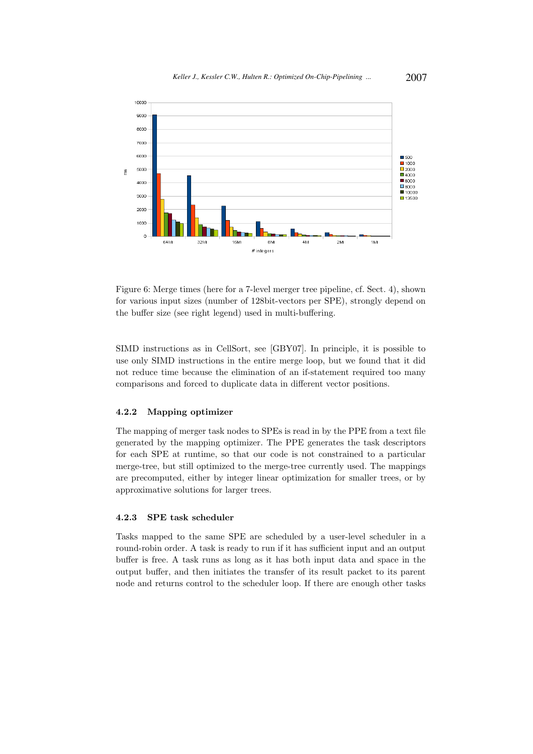

Figure 6: Merge times (here for a 7-level merger tree pipeline, cf. Sect. 4), shown for various input sizes (number of 128bit-vectors per SPE), strongly depend on the buffer size (see right legend) used in multi-buffering.

SIMD instructions as in CellSort, see [GBY07]. In principle, it is possible to use only SIMD instructions in the entire merge loop, but we found that it did not reduce time because the elimination of an if-statement required too many comparisons and forced to duplicate data in different vector positions.

# 4.2.2 Mapping optimizer

The mapping of merger task nodes to SPEs is read in by the PPE from a text file generated by the mapping optimizer. The PPE generates the task descriptors for each SPE at runtime, so that our code is not constrained to a particular merge-tree, but still optimized to the merge-tree currently used. The mappings are precomputed, either by integer linear optimization for smaller trees, or by approximative solutions for larger trees.

### 4.2.3 SPE task scheduler

Tasks mapped to the same SPE are scheduled by a user-level scheduler in a round-robin order. A task is ready to run if it has sufficient input and an output buffer is free. A task runs as long as it has both input data and space in the output buffer, and then initiates the transfer of its result packet to its parent node and returns control to the scheduler loop. If there are enough other tasks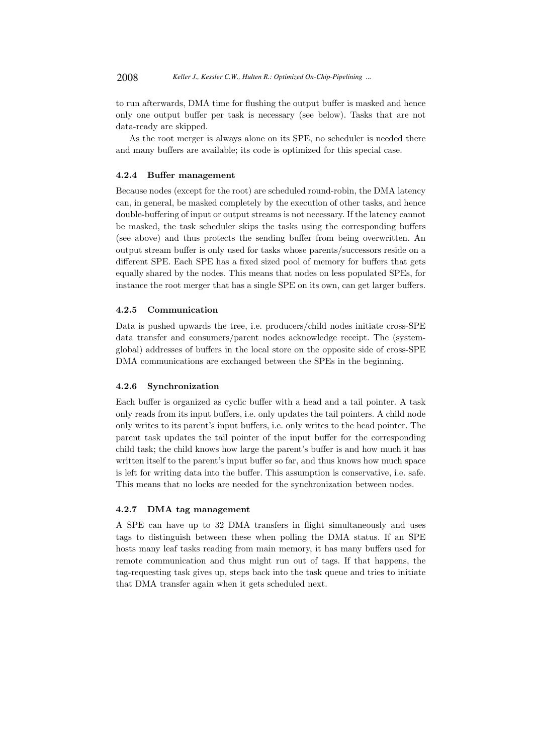to run afterwards, DMA time for flushing the output buffer is masked and hence only one output buffer per task is necessary (see below). Tasks that are not data-ready are skipped.

As the root merger is always alone on its SPE, no scheduler is needed there and many buffers are available; its code is optimized for this special case.

# 4.2.4 Buffer management

Because nodes (except for the root) are scheduled round-robin, the DMA latency can, in general, be masked completely by the execution of other tasks, and hence double-buffering of input or output streams is not necessary. If the latency cannot be masked, the task scheduler skips the tasks using the corresponding buffers (see above) and thus protects the sending buffer from being overwritten. An output stream buffer is only used for tasks whose parents/successors reside on a different SPE. Each SPE has a fixed sized pool of memory for buffers that gets equally shared by the nodes. This means that nodes on less populated SPEs, for instance the root merger that has a single SPE on its own, can get larger buffers.

# 4.2.5 Communication

Data is pushed upwards the tree, i.e. producers/child nodes initiate cross-SPE data transfer and consumers/parent nodes acknowledge receipt. The (systemglobal) addresses of buffers in the local store on the opposite side of cross-SPE DMA communications are exchanged between the SPEs in the beginning.

### 4.2.6 Synchronization

Each buffer is organized as cyclic buffer with a head and a tail pointer. A task only reads from its input buffers, i.e. only updates the tail pointers. A child node only writes to its parent's input buffers, i.e. only writes to the head pointer. The parent task updates the tail pointer of the input buffer for the corresponding child task; the child knows how large the parent's buffer is and how much it has written itself to the parent's input buffer so far, and thus knows how much space is left for writing data into the buffer. This assumption is conservative, i.e. safe. This means that no locks are needed for the synchronization between nodes.

#### 4.2.7 DMA tag management

A SPE can have up to 32 DMA transfers in flight simultaneously and uses tags to distinguish between these when polling the DMA status. If an SPE hosts many leaf tasks reading from main memory, it has many buffers used for remote communication and thus might run out of tags. If that happens, the tag-requesting task gives up, steps back into the task queue and tries to initiate that DMA transfer again when it gets scheduled next.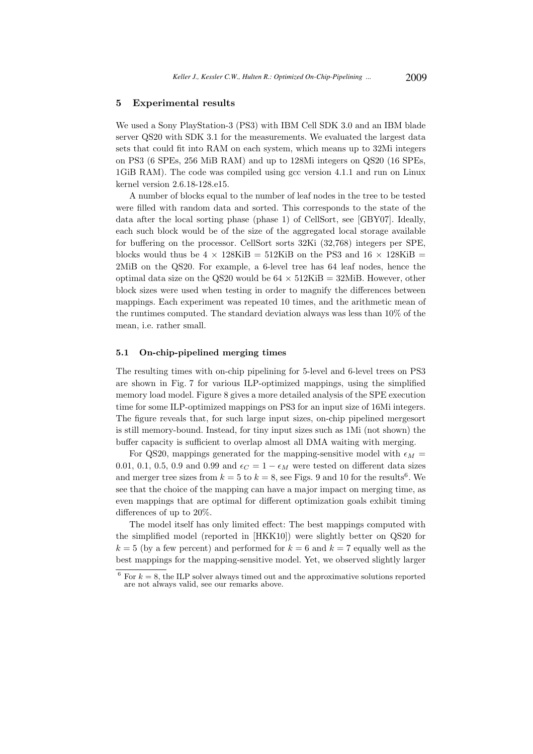# 5 Experimental results

We used a Sony PlayStation-3 (PS3) with IBM Cell SDK 3.0 and an IBM blade server QS20 with SDK 3.1 for the measurements. We evaluated the largest data sets that could fit into RAM on each system, which means up to 32Mi integers on PS3 (6 SPEs, 256 MiB RAM) and up to 128Mi integers on QS20 (16 SPEs, 1GiB RAM). The code was compiled using gcc version 4.1.1 and run on Linux kernel version 2.6.18-128.e15.

A number of blocks equal to the number of leaf nodes in the tree to be tested were filled with random data and sorted. This corresponds to the state of the data after the local sorting phase (phase 1) of CellSort, see [GBY07]. Ideally, each such block would be of the size of the aggregated local storage available for buffering on the processor. CellSort sorts 32Ki (32,768) integers per SPE, blocks would thus be 4  $\times$  128KiB = 512KiB on the PS3 and 16  $\times$  128KiB = 2MiB on the QS20. For example, a 6-level tree has 64 leaf nodes, hence the optimal data size on the QS20 would be  $64 \times 512$ KiB = 32MiB. However, other block sizes were used when testing in order to magnify the differences between mappings. Each experiment was repeated 10 times, and the arithmetic mean of the runtimes computed. The standard deviation always was less than 10% of the mean, i.e. rather small.

# 5.1 On-chip-pipelined merging times

The resulting times with on-chip pipelining for 5-level and 6-level trees on PS3 are shown in Fig. 7 for various ILP-optimized mappings, using the simplified memory load model. Figure 8 gives a more detailed analysis of the SPE execution time for some ILP-optimized mappings on PS3 for an input size of 16Mi integers. The figure reveals that, for such large input sizes, on-chip pipelined mergesort is still memory-bound. Instead, for tiny input sizes such as 1Mi (not shown) the buffer capacity is sufficient to overlap almost all DMA waiting with merging.

For QS20, mappings generated for the mapping-sensitive model with  $\epsilon_M$  = 0.01, 0.1, 0.5, 0.9 and 0.99 and  $\epsilon_C = 1 - \epsilon_M$  were tested on different data sizes and merger tree sizes from  $k = 5$  to  $k = 8$ , see Figs. 9 and 10 for the results<sup>6</sup>. We see that the choice of the mapping can have a major impact on merging time, as even mappings that are optimal for different optimization goals exhibit timing differences of up to 20%.

The model itself has only limited effect: The best mappings computed with the simplified model (reported in [HKK10]) were slightly better on QS20 for  $k = 5$  (by a few percent) and performed for  $k = 6$  and  $k = 7$  equally well as the best mappings for the mapping-sensitive model. Yet, we observed slightly larger

 $6$  For  $k = 8$ , the ILP solver always timed out and the approximative solutions reported are not always valid, see our remarks above.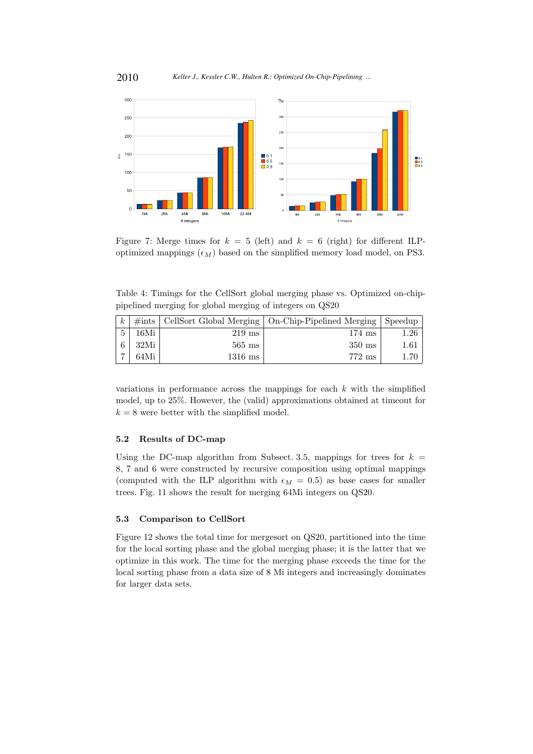

Figure 7: Merge times for  $k = 5$  (left) and  $k = 6$  (right) for different ILPoptimized mappings  $(\epsilon_M)$  based on the simplified memory load model, on PS3.

Table 4: Timings for the CellSort global merging phase vs. Optimized on-chippipelined merging for global merging of integers on QS20

| $\boldsymbol{k}$ |      |                  | $\#ints$   CellSort Global Merging   On-Chip-Pipelined Merging   Speedup |          |
|------------------|------|------------------|--------------------------------------------------------------------------|----------|
|                  | 16Mi | $219 \text{ ms}$ | $174 \text{ ms}$                                                         | $1.26\,$ |
|                  | 32Mi | $565 \text{ ms}$ | $350 \text{ ms}$                                                         | $1.61\,$ |
|                  | 64Mi | $1316$ ms        | $772 \text{ ms}$                                                         |          |

variations in performance across the mappings for each  $k$  with the simplified model, up to 25%. However, the (valid) approximations obtained at timeout for  $k = 8$  were better with the simplified model.

# 5.2 Results of DC-map

Using the DC-map algorithm from Subsect. 3.5, mappings for trees for  $k =$ 8, 7 and 6 were constructed by recursive composition using optimal mappings (computed with the ILP algorithm with  $\epsilon_M = 0.5$ ) as base cases for smaller trees. Fig. 11 shows the result for merging 64Mi integers on QS20.

### 5.3 Comparison to CellSort

Figure 12 shows the total time for mergesort on QS20, partitioned into the time for the local sorting phase and the global merging phase; it is the latter that we optimize in this work. The time for the merging phase exceeds the time for the local sorting phase from a data size of 8 Mi integers and increasingly dominates for larger data sets.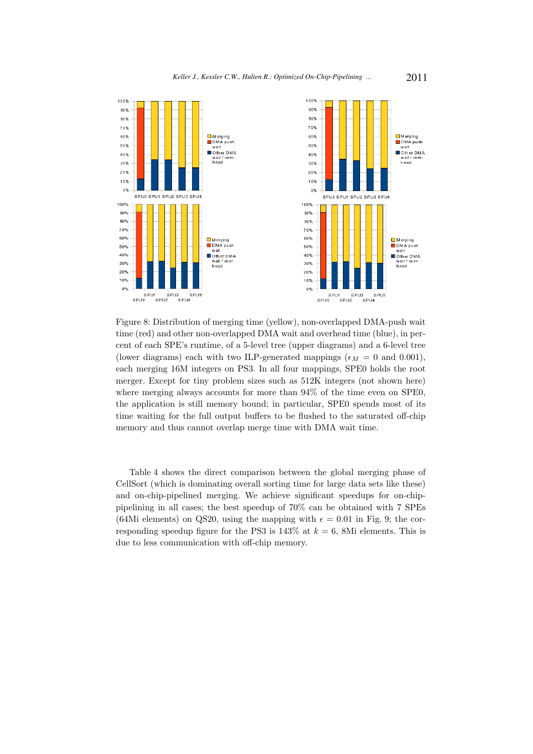

Figure 8: Distribution of merging time (yellow), non-overlapped DMA-push wait time (red) and other non-overlapped DMA wait and overhead time (blue), in percent of each SPE's runtime, of a 5-level tree (upper diagrams) and a 6-level tree (lower diagrams) each with two ILP-generated mappings ( $\epsilon_M = 0$  and 0.001), each merging 16M integers on PS3. In all four mappings, SPE0 holds the root merger. Except for tiny problem sizes such as 512K integers (not shown here) where merging always accounts for more than 94% of the time even on SPE0, the application is still memory bound; in particular, SPE0 spends most of its time waiting for the full output buffers to be flushed to the saturated off-chip memory and thus cannot overlap merge time with DMA wait time.

Table 4 shows the direct comparison between the global merging phase of CellSort (which is dominating overall sorting time for large data sets like these) and on-chip-pipelined merging. We achieve significant speedups for on-chippipelining in all cases; the best speedup of 70% can be obtained with 7 SPEs (64Mi elements) on QS20, using the mapping with  $\epsilon = 0.01$  in Fig. 9; the corresponding speedup figure for the PS3 is  $143\%$  at  $k = 6$ , 8Mi elements. This is due to less communication with off-chip memory.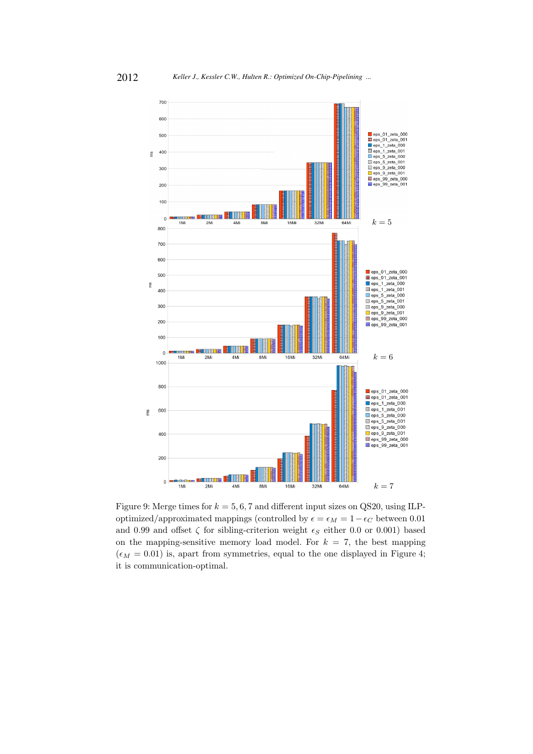

Figure 9: Merge times for  $k = 5, 6, 7$  and different input sizes on QS20, using ILPoptimized/approximated mappings (controlled by  $\epsilon = \epsilon_M = 1 - \epsilon_C$  between 0.01 and 0.99 and offset  $\zeta$  for sibling-criterion weight  $\epsilon_S$  either 0.0 or 0.001) based on the mapping-sensitive memory load model. For  $k = 7$ , the best mapping  $(\epsilon_M = 0.01)$  is, apart from symmetries, equal to the one displayed in Figure 4; it is communication-optimal.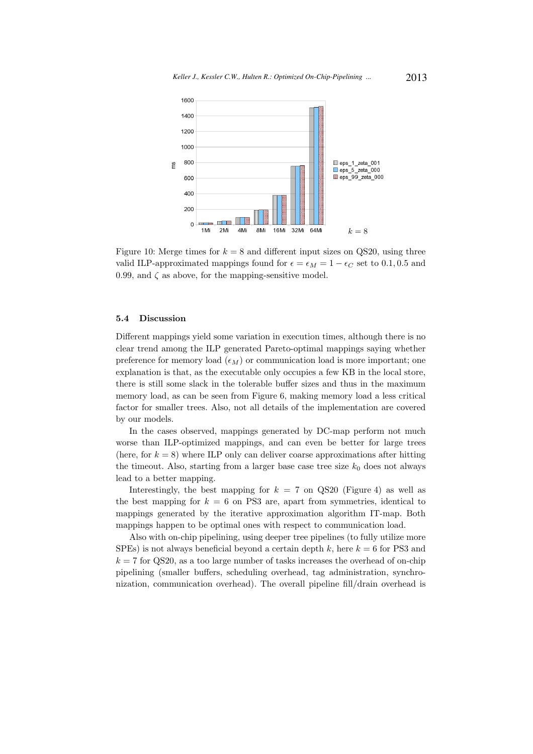

Figure 10: Merge times for  $k = 8$  and different input sizes on QS20, using three valid ILP-approximated mappings found for  $\epsilon = \epsilon_M = 1 - \epsilon_C$  set to 0.1, 0.5 and 0.99, and  $\zeta$  as above, for the mapping-sensitive model.

### 5.4 Discussion

Different mappings yield some variation in execution times, although there is no clear trend among the ILP generated Pareto-optimal mappings saying whether preference for memory load  $(\epsilon_M)$  or communication load is more important; one explanation is that, as the executable only occupies a few KB in the local store, there is still some slack in the tolerable buffer sizes and thus in the maximum memory load, as can be seen from Figure 6, making memory load a less critical factor for smaller trees. Also, not all details of the implementation are covered by our models.

In the cases observed, mappings generated by DC-map perform not much worse than ILP-optimized mappings, and can even be better for large trees (here, for  $k = 8$ ) where ILP only can deliver coarse approximations after hitting the timeout. Also, starting from a larger base case tree size  $k_0$  does not always lead to a better mapping.

Interestingly, the best mapping for  $k = 7$  on QS20 (Figure 4) as well as the best mapping for  $k = 6$  on PS3 are, apart from symmetries, identical to mappings generated by the iterative approximation algorithm IT-map. Both mappings happen to be optimal ones with respect to communication load.

Also with on-chip pipelining, using deeper tree pipelines (to fully utilize more SPEs) is not always beneficial beyond a certain depth k, here  $k = 6$  for PS3 and  $k = 7$  for QS20, as a too large number of tasks increases the overhead of on-chip pipelining (smaller buffers, scheduling overhead, tag administration, synchronization, communication overhead). The overall pipeline fill/drain overhead is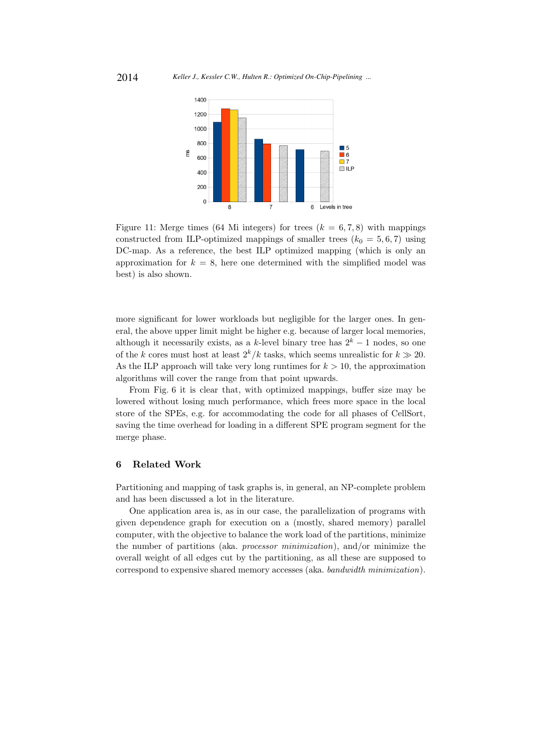

Figure 11: Merge times (64 Mi integers) for trees  $(k = 6, 7, 8)$  with mappings constructed from ILP-optimized mappings of smaller trees  $(k_0 = 5, 6, 7)$  using DC-map. As a reference, the best ILP optimized mapping (which is only an approximation for  $k = 8$ , here one determined with the simplified model was best) is also shown.

more significant for lower workloads but negligible for the larger ones. In general, the above upper limit might be higher e.g. because of larger local memories, although it necessarily exists, as a k-level binary tree has  $2^k - 1$  nodes, so one of the k cores must host at least  $2^k/k$  tasks, which seems unrealistic for  $k \gg 20$ . As the ILP approach will take very long runtimes for  $k > 10$ , the approximation algorithms will cover the range from that point upwards.

From Fig. 6 it is clear that, with optimized mappings, buffer size may be lowered without losing much performance, which frees more space in the local store of the SPEs, e.g. for accommodating the code for all phases of CellSort, saving the time overhead for loading in a different SPE program segment for the merge phase.

# 6 Related Work

Partitioning and mapping of task graphs is, in general, an NP-complete problem and has been discussed a lot in the literature.

One application area is, as in our case, the parallelization of programs with given dependence graph for execution on a (mostly, shared memory) parallel computer, with the objective to balance the work load of the partitions, minimize the number of partitions (aka. processor minimization), and/or minimize the overall weight of all edges cut by the partitioning, as all these are supposed to correspond to expensive shared memory accesses (aka. bandwidth minimization).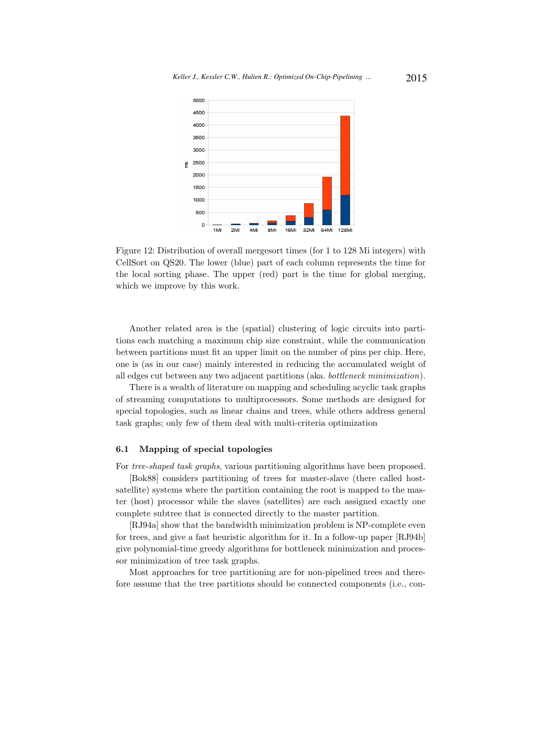

Figure 12: Distribution of overall mergesort times (for 1 to 128 Mi integers) with CellSort on QS20. The lower (blue) part of each column represents the time for the local sorting phase. The upper (red) part is the time for global merging, which we improve by this work.

Another related area is the (spatial) clustering of logic circuits into partitions each matching a maximum chip size constraint, while the communication between partitions must fit an upper limit on the number of pins per chip. Here, one is (as in our case) mainly interested in reducing the accumulated weight of all edges cut between any two adjacent partitions (aka. bottleneck minimization).

There is a wealth of literature on mapping and scheduling acyclic task graphs of streaming computations to multiprocessors. Some methods are designed for special topologies, such as linear chains and trees, while others address general task graphs; only few of them deal with multi-criteria optimization

#### 6.1 Mapping of special topologies

For tree-shaped task graphs, various partitioning algorithms have been proposed.

[Bok88] considers partitioning of trees for master-slave (there called hostsatellite) systems where the partition containing the root is mapped to the master (host) processor while the slaves (satellites) are each assigned exactly one complete subtree that is connected directly to the master partition.

[RJ94a] show that the bandwidth minimization problem is NP-complete even for trees, and give a fast heuristic algorithm for it. In a follow-up paper [RJ94b] give polynomial-time greedy algorithms for bottleneck minimization and processor minimization of tree task graphs.

Most approaches for tree partitioning are for non-pipelined trees and therefore assume that the tree partitions should be connected components (i.e., con-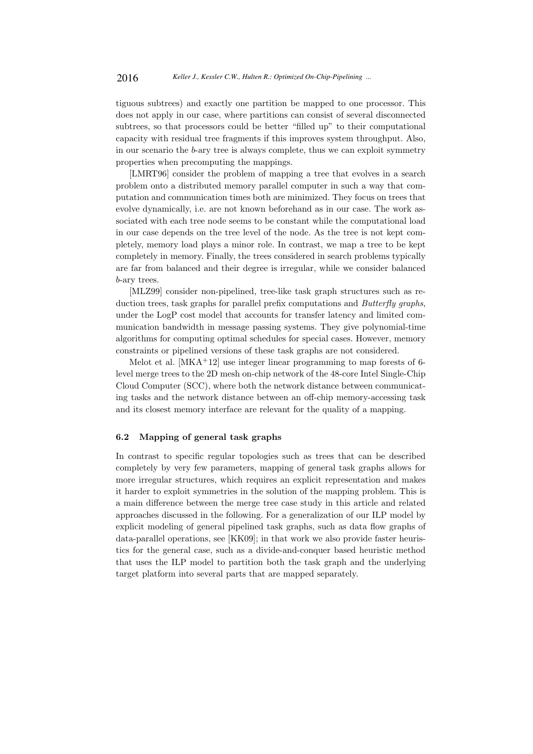tiguous subtrees) and exactly one partition be mapped to one processor. This does not apply in our case, where partitions can consist of several disconnected subtrees, so that processors could be better "filled up" to their computational capacity with residual tree fragments if this improves system throughput. Also, in our scenario the b-ary tree is always complete, thus we can exploit symmetry properties when precomputing the mappings.

[LMRT96] consider the problem of mapping a tree that evolves in a search problem onto a distributed memory parallel computer in such a way that computation and communication times both are minimized. They focus on trees that evolve dynamically, i.e. are not known beforehand as in our case. The work associated with each tree node seems to be constant while the computational load in our case depends on the tree level of the node. As the tree is not kept completely, memory load plays a minor role. In contrast, we map a tree to be kept completely in memory. Finally, the trees considered in search problems typically are far from balanced and their degree is irregular, while we consider balanced b-ary trees.

[MLZ99] consider non-pipelined, tree-like task graph structures such as reduction trees, task graphs for parallel prefix computations and Butterfly graphs, under the LogP cost model that accounts for transfer latency and limited communication bandwidth in message passing systems. They give polynomial-time algorithms for computing optimal schedules for special cases. However, memory constraints or pipelined versions of these task graphs are not considered.

Melot et al.  $[MKA^+12]$  use integer linear programming to map forests of 6level merge trees to the 2D mesh on-chip network of the 48-core Intel Single-Chip Cloud Computer (SCC), where both the network distance between communicating tasks and the network distance between an off-chip memory-accessing task and its closest memory interface are relevant for the quality of a mapping.

# 6.2 Mapping of general task graphs

In contrast to specific regular topologies such as trees that can be described completely by very few parameters, mapping of general task graphs allows for more irregular structures, which requires an explicit representation and makes it harder to exploit symmetries in the solution of the mapping problem. This is a main difference between the merge tree case study in this article and related approaches discussed in the following. For a generalization of our ILP model by explicit modeling of general pipelined task graphs, such as data flow graphs of data-parallel operations, see [KK09]; in that work we also provide faster heuristics for the general case, such as a divide-and-conquer based heuristic method that uses the ILP model to partition both the task graph and the underlying target platform into several parts that are mapped separately.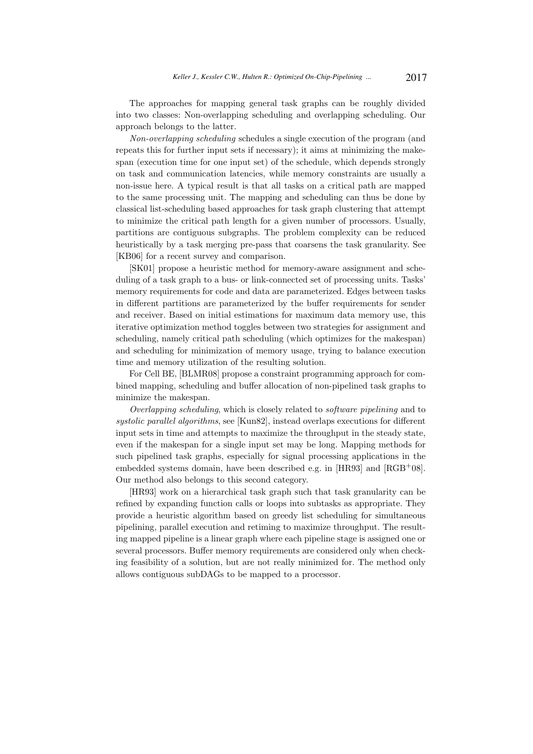The approaches for mapping general task graphs can be roughly divided into two classes: Non-overlapping scheduling and overlapping scheduling. Our approach belongs to the latter.

Non-overlapping scheduling schedules a single execution of the program (and repeats this for further input sets if necessary); it aims at minimizing the makespan (execution time for one input set) of the schedule, which depends strongly on task and communication latencies, while memory constraints are usually a non-issue here. A typical result is that all tasks on a critical path are mapped to the same processing unit. The mapping and scheduling can thus be done by classical list-scheduling based approaches for task graph clustering that attempt to minimize the critical path length for a given number of processors. Usually, partitions are contiguous subgraphs. The problem complexity can be reduced heuristically by a task merging pre-pass that coarsens the task granularity. See [KB06] for a recent survey and comparison.

[SK01] propose a heuristic method for memory-aware assignment and scheduling of a task graph to a bus- or link-connected set of processing units. Tasks' memory requirements for code and data are parameterized. Edges between tasks in different partitions are parameterized by the buffer requirements for sender and receiver. Based on initial estimations for maximum data memory use, this iterative optimization method toggles between two strategies for assignment and scheduling, namely critical path scheduling (which optimizes for the makespan) and scheduling for minimization of memory usage, trying to balance execution time and memory utilization of the resulting solution.

For Cell BE, [BLMR08] propose a constraint programming approach for combined mapping, scheduling and buffer allocation of non-pipelined task graphs to minimize the makespan.

Overlapping scheduling, which is closely related to software pipelining and to systolic parallel algorithms, see [Kun82], instead overlaps executions for different input sets in time and attempts to maximize the throughput in the steady state, even if the makespan for a single input set may be long. Mapping methods for such pipelined task graphs, especially for signal processing applications in the embedded systems domain, have been described e.g. in [HR93] and [RGB+08]. Our method also belongs to this second category.

[HR93] work on a hierarchical task graph such that task granularity can be refined by expanding function calls or loops into subtasks as appropriate. They provide a heuristic algorithm based on greedy list scheduling for simultaneous pipelining, parallel execution and retiming to maximize throughput. The resulting mapped pipeline is a linear graph where each pipeline stage is assigned one or several processors. Buffer memory requirements are considered only when checking feasibility of a solution, but are not really minimized for. The method only allows contiguous subDAGs to be mapped to a processor.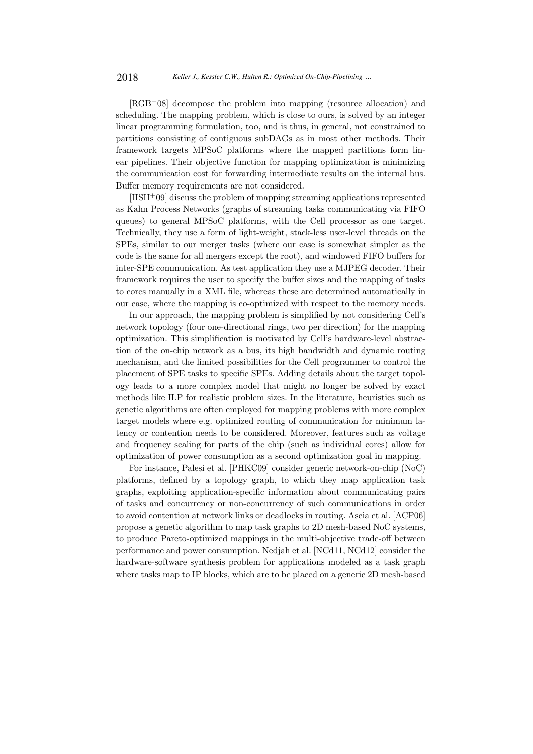[RGB<sup>+</sup>08] decompose the problem into mapping (resource allocation) and scheduling. The mapping problem, which is close to ours, is solved by an integer linear programming formulation, too, and is thus, in general, not constrained to partitions consisting of contiguous subDAGs as in most other methods. Their framework targets MPSoC platforms where the mapped partitions form linear pipelines. Their objective function for mapping optimization is minimizing the communication cost for forwarding intermediate results on the internal bus. Buffer memory requirements are not considered.

 $[HSH<sup>+</sup>09]$  discuss the problem of mapping streaming applications represented as Kahn Process Networks (graphs of streaming tasks communicating via FIFO queues) to general MPSoC platforms, with the Cell processor as one target. Technically, they use a form of light-weight, stack-less user-level threads on the SPEs, similar to our merger tasks (where our case is somewhat simpler as the code is the same for all mergers except the root), and windowed FIFO buffers for inter-SPE communication. As test application they use a MJPEG decoder. Their framework requires the user to specify the buffer sizes and the mapping of tasks to cores manually in a XML file, whereas these are determined automatically in our case, where the mapping is co-optimized with respect to the memory needs.

In our approach, the mapping problem is simplified by not considering Cell's network topology (four one-directional rings, two per direction) for the mapping optimization. This simplification is motivated by Cell's hardware-level abstraction of the on-chip network as a bus, its high bandwidth and dynamic routing mechanism, and the limited possibilities for the Cell programmer to control the placement of SPE tasks to specific SPEs. Adding details about the target topology leads to a more complex model that might no longer be solved by exact methods like ILP for realistic problem sizes. In the literature, heuristics such as genetic algorithms are often employed for mapping problems with more complex target models where e.g. optimized routing of communication for minimum latency or contention needs to be considered. Moreover, features such as voltage and frequency scaling for parts of the chip (such as individual cores) allow for optimization of power consumption as a second optimization goal in mapping.

For instance, Palesi et al. [PHKC09] consider generic network-on-chip (NoC) platforms, defined by a topology graph, to which they map application task graphs, exploiting application-specific information about communicating pairs of tasks and concurrency or non-concurrency of such communications in order to avoid contention at network links or deadlocks in routing. Ascia et al. [ACP06] propose a genetic algorithm to map task graphs to 2D mesh-based NoC systems, to produce Pareto-optimized mappings in the multi-objective trade-off between performance and power consumption. Nedjah et al. [NCd11, NCd12] consider the hardware-software synthesis problem for applications modeled as a task graph where tasks map to IP blocks, which are to be placed on a generic 2D mesh-based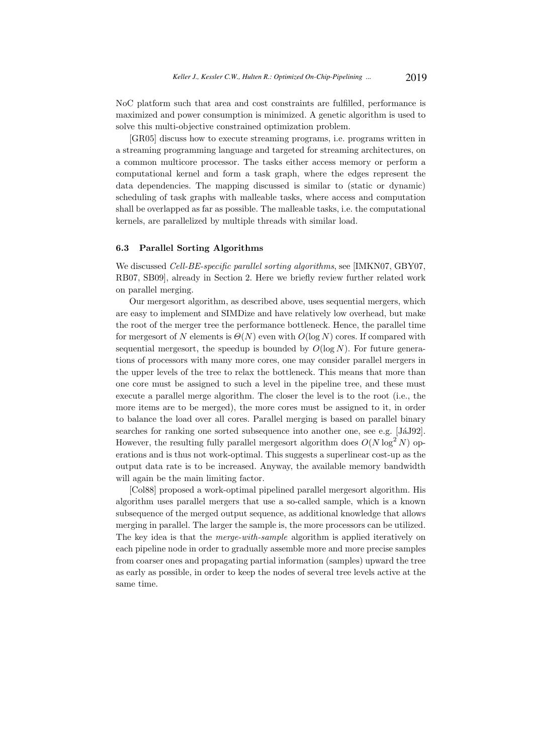NoC platform such that area and cost constraints are fulfilled, performance is maximized and power consumption is minimized. A genetic algorithm is used to solve this multi-objective constrained optimization problem.

[GR05] discuss how to execute streaming programs, i.e. programs written in a streaming programming language and targeted for streaming architectures, on a common multicore processor. The tasks either access memory or perform a computational kernel and form a task graph, where the edges represent the data dependencies. The mapping discussed is similar to (static or dynamic) scheduling of task graphs with malleable tasks, where access and computation shall be overlapped as far as possible. The malleable tasks, i.e. the computational kernels, are parallelized by multiple threads with similar load.

# 6.3 Parallel Sorting Algorithms

We discussed *Cell-BE-specific parallel sorting algorithms*, see [IMKN07, GBY07, RB07, SB09], already in Section 2. Here we briefly review further related work on parallel merging.

Our mergesort algorithm, as described above, uses sequential mergers, which are easy to implement and SIMDize and have relatively low overhead, but make the root of the merger tree the performance bottleneck. Hence, the parallel time for mergesort of N elements is  $\Theta(N)$  even with  $O(\log N)$  cores. If compared with sequential mergesort, the speedup is bounded by  $O(\log N)$ . For future generations of processors with many more cores, one may consider parallel mergers in the upper levels of the tree to relax the bottleneck. This means that more than one core must be assigned to such a level in the pipeline tree, and these must execute a parallel merge algorithm. The closer the level is to the root (i.e., the more items are to be merged), the more cores must be assigned to it, in order to balance the load over all cores. Parallel merging is based on parallel binary searches for ranking one sorted subsequence into another one, see e.g. [JaJ92]. However, the resulting fully parallel mergesort algorithm does  $O(N \log^2 N)$  operations and is thus not work-optimal. This suggests a superlinear cost-up as the output data rate is to be increased. Anyway, the available memory bandwidth will again be the main limiting factor.

[Col88] proposed a work-optimal pipelined parallel mergesort algorithm. His algorithm uses parallel mergers that use a so-called sample, which is a known subsequence of the merged output sequence, as additional knowledge that allows merging in parallel. The larger the sample is, the more processors can be utilized. The key idea is that the merge-with-sample algorithm is applied iteratively on each pipeline node in order to gradually assemble more and more precise samples from coarser ones and propagating partial information (samples) upward the tree as early as possible, in order to keep the nodes of several tree levels active at the same time.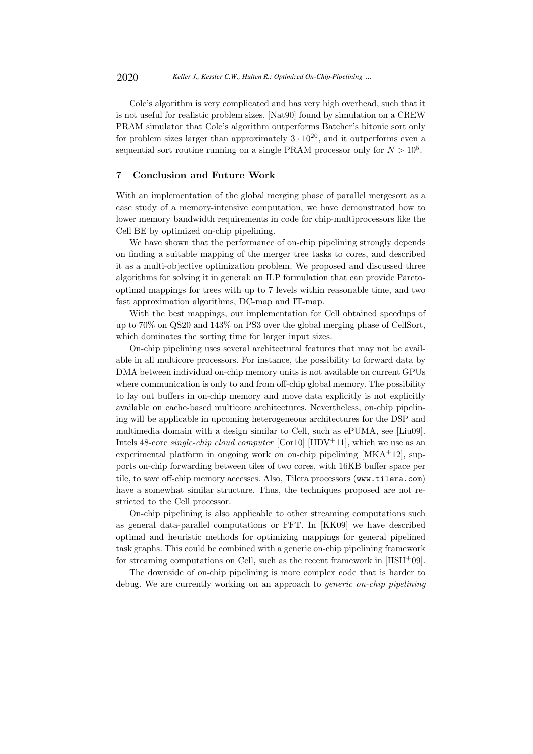Cole's algorithm is very complicated and has very high overhead, such that it is not useful for realistic problem sizes. [Nat90] found by simulation on a CREW PRAM simulator that Cole's algorithm outperforms Batcher's bitonic sort only for problem sizes larger than approximately  $3 \cdot 10^{20}$ , and it outperforms even a sequential sort routine running on a single PRAM processor only for  $N > 10<sup>5</sup>$ .

# 7 Conclusion and Future Work

With an implementation of the global merging phase of parallel mergesort as a case study of a memory-intensive computation, we have demonstrated how to lower memory bandwidth requirements in code for chip-multiprocessors like the Cell BE by optimized on-chip pipelining.

We have shown that the performance of on-chip pipelining strongly depends on finding a suitable mapping of the merger tree tasks to cores, and described it as a multi-objective optimization problem. We proposed and discussed three algorithms for solving it in general: an ILP formulation that can provide Paretooptimal mappings for trees with up to 7 levels within reasonable time, and two fast approximation algorithms, DC-map and IT-map.

With the best mappings, our implementation for Cell obtained speedups of up to 70% on QS20 and 143% on PS3 over the global merging phase of CellSort, which dominates the sorting time for larger input sizes.

On-chip pipelining uses several architectural features that may not be available in all multicore processors. For instance, the possibility to forward data by DMA between individual on-chip memory units is not available on current GPUs where communication is only to and from off-chip global memory. The possibility to lay out buffers in on-chip memory and move data explicitly is not explicitly available on cache-based multicore architectures. Nevertheless, on-chip pipelining will be applicable in upcoming heterogeneous architectures for the DSP and multimedia domain with a design similar to Cell, such as ePUMA, see [Liu09]. Intels 48-core *single-chip cloud computer* [Cor10]  $[HDV^+11]$ , which we use as an experimental platform in ongoing work on on-chip pipelining  $[MKA^+12]$ , supports on-chip forwarding between tiles of two cores, with 16KB buffer space per tile, to save off-chip memory accesses. Also, Tilera processors (www.tilera.com) have a somewhat similar structure. Thus, the techniques proposed are not restricted to the Cell processor.

On-chip pipelining is also applicable to other streaming computations such as general data-parallel computations or FFT. In [KK09] we have described optimal and heuristic methods for optimizing mappings for general pipelined task graphs. This could be combined with a generic on-chip pipelining framework for streaming computations on Cell, such as the recent framework in  $[HSH^+0.9]$ .

The downside of on-chip pipelining is more complex code that is harder to debug. We are currently working on an approach to *generic on-chip pipelining*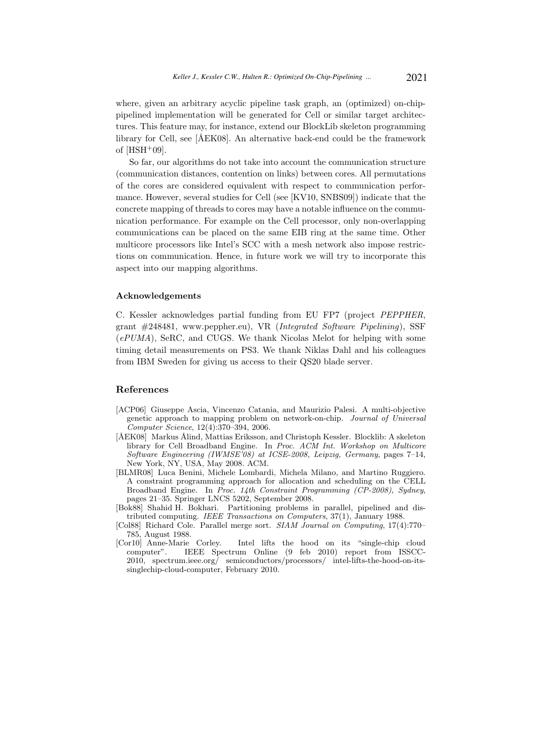where, given an arbitrary acyclic pipeline task graph, an (optimized) on-chippipelined implementation will be generated for Cell or similar target architectures. This feature may, for instance, extend our BlockLib skeleton programming library for Cell, see [ÅEK08]. An alternative back-end could be the framework of  $[HSH+09]$ .

So far, our algorithms do not take into account the communication structure (communication distances, contention on links) between cores. All permutations of the cores are considered equivalent with respect to communication performance. However, several studies for Cell (see [KV10, SNBS09]) indicate that the concrete mapping of threads to cores may have a notable influence on the communication performance. For example on the Cell processor, only non-overlapping communications can be placed on the same EIB ring at the same time. Other multicore processors like Intel's SCC with a mesh network also impose restrictions on communication. Hence, in future work we will try to incorporate this aspect into our mapping algorithms.

#### Acknowledgements

C. Kessler acknowledges partial funding from EU FP7 (project PEPPHER, grant #248481, www.peppher.eu), VR (Integrated Software Pipelining), SSF  $(ePUMA)$ , SeRC, and CUGS. We thank Nicolas Melot for helping with some timing detail measurements on PS3. We thank Niklas Dahl and his colleagues from IBM Sweden for giving us access to their QS20 blade server.

# References

- [ACP06] Giuseppe Ascia, Vincenzo Catania, and Maurizio Palesi. A multi-objective genetic approach to mapping problem on network-on-chip. Journal of Universal Computer Science, 12(4):370–394, 2006.
- [ÅEK08] Markus Ålind, Mattias Eriksson, and Christoph Kessler. Blocklib: A skeleton library for Cell Broadband Engine. In Proc. ACM Int. Workshop on Multicore Software Engineering (IWMSE'08) at ICSE-2008, Leipzig, Germany, pages 7–14, New York, NY, USA, May 2008. ACM.
- [BLMR08] Luca Benini, Michele Lombardi, Michela Milano, and Martino Ruggiero. A constraint programming approach for allocation and scheduling on the CELL Broadband Engine. In Proc. 14th Constraint Programming (CP-2008), Sydney, pages 21–35. Springer LNCS 5202, September 2008.
- [Bok88] Shahid H. Bokhari. Partitioning problems in parallel, pipelined and distributed computing. IEEE Transactions on Computers, 37(1), January 1988.
- [Col88] Richard Cole. Parallel merge sort. SIAM Journal on Computing, 17(4):770– 785, August 1988.<br>[Cor10] Anne-Marie Corley.
- Intel lifts the hood on its "single-chip cloud computer". IEEE Spectrum Online (9 feb 2010) report from ISSCC-2010, spectrum.ieee.org/ semiconductors/processors/ intel-lifts-the-hood-on-itssinglechip-cloud-computer, February 2010.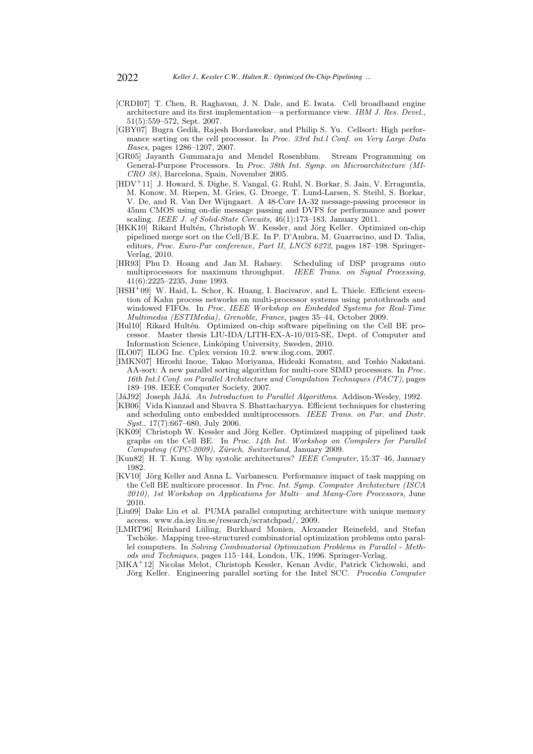- [CRDI07] T. Chen, R. Raghavan, J. N. Dale, and E. Iwata. Cell broadband engine architecture and its first implementation—a performance view. IBM J. Res. Devel., 51(5):559–572, Sept. 2007.
- [GBY07] Bugra Gedik, Rajesh Bordawekar, and Philip S. Yu. Cellsort: High performance sorting on the cell processor. In Proc. 33rd Int.l Conf. on Very Large Data Bases, pages 1286–1207, 2007.
- [GR05] Jayanth Gummaraju and Mendel Rosenblum. Stream Programming on General-Purpose Processors. In Proc. 38th Int. Symp. on Microarchitecture (MI-CRO 38), Barcelona, Spain, November 2005.
- [HDV<sup>+</sup>11] J. Howard, S. Dighe, S. Vangal, G. Ruhl, N. Borkar, S. Jain, V. Erraguntla, M. Konow, M. Riepen, M. Gries, G. Droege, T. Lund-Larsen, S. Steibl, S. Borkar, V. De, and R. Van Der Wijngaart. A 48-Core IA-32 message-passing processor in 45nm CMOS using on-die message passing and DVFS for performance and power scaling. IEEE J. of Solid-State Circuits, 46(1):173-183, January 2011.
- [HKK10] Rikard Hultén, Christoph W. Kessler, and Jörg Keller. Optimized on-chip pipelined merge sort on the Cell/B.E. In P. D'Ambra, M. Guarracino, and D. Talia, editors, Proc. Euro-Par conference, Part II, LNCS 6272, pages 187–198. Springer-Verlag, 2010.
- [HR93] Phu D. Hoang and Jan M. Rabaey. Scheduling of DSP programs onto multiprocessors for maximum throughput. IEEE Trans. on Signal Processing, multiprocessors for maximum throughput. 41(6):2225–2235, June 1993.
- $[HSH<sup>+</sup>09]$  W. Haid, L. Schor, K. Huang, I. Bacivarov, and L. Thiele. Efficient execution of Kahn process networks on multi-processor systems using protothreads and windowed FIFOs. In Proc. IEEE Workshop on Embedded Systems for Real-Time Multimedia (ESTIMedia), Grenoble, France, pages 35–44, October 2009.
- [Hul10] Rikard Hultén. Optimized on-chip software pipelining on the Cell BE processor. Master thesis LIU-IDA/LITH-EX-A-10/015-SE, Dept. of Computer and Information Science, Linköping University, Sweden, 2010.
- [ILO07] ILOG Inc. Cplex version 10.2. www.ilog.com, 2007.
- [IMKN07] Hiroshi Inoue, Takao Moriyama, Hideaki Komatsu, and Toshio Nakatani. AA-sort: A new parallel sorting algorithm for multi-core SIMD processors. In Proc. 16th Int.l Conf. on Parallel Architecture and Compilation Techniques (PACT), pages 189–198. IEEE Computer Society, 2007.
- [JáJ92] Joseph JáJá. An Introduction to Parallel Algorithms. Addison-Wesley, 1992.
- [KB06] Vida Kianzad and Shuvra S. Bhattacharyya. Efficient techniques for clustering and scheduling onto embedded multiprocessors. IEEE Trans. on Par. and Distr. Syst., 17(7):667–680, July 2006.
- [KK09] Christoph W. Kessler and Jörg Keller. Optimized mapping of pipelined task graphs on the Cell BE. In Proc. 14th Int. Workshop on Compilers for Parallel Computing (CPC-2009), Zürich, Switzerland, January 2009.
- [Kun82] H. T. Kung. Why systolic architectures? IEEE Computer, 15:37–46, January 1982.
- [KV10] Jörg Keller and Anna L. Varbanescu. Performance impact of task mapping on the Cell BE multicore processor. In Proc. Int. Symp. Computer Architecture (ISCA 2010), 1st Workshop on Applications for Multi– and Many-Core Processors, June 2010.
- [Liu09] Dake Liu et al. PUMA parallel computing architecture with unique memory access. www.da.isy.liu.se/research/scratchpad/, 2009.
- [LMRT96] Reinhard Lüling, Burkhard Monien, Alexander Reinefeld, and Stefan Tschöke. Mapping tree-structured combinatorial optimization problems onto parallel computers. In Solving Combinatorial Optimization Problems in Parallel - Methods and Techniques, pages 115–144, London, UK, 1996. Springer-Verlag.
- [MKA<sup>+</sup>12] Nicolas Melot, Christoph Kessler, Kenan Avdic, Patrick Cichowski, and Jörg Keller. Engineering parallel sorting for the Intel SCC. Procedia Computer